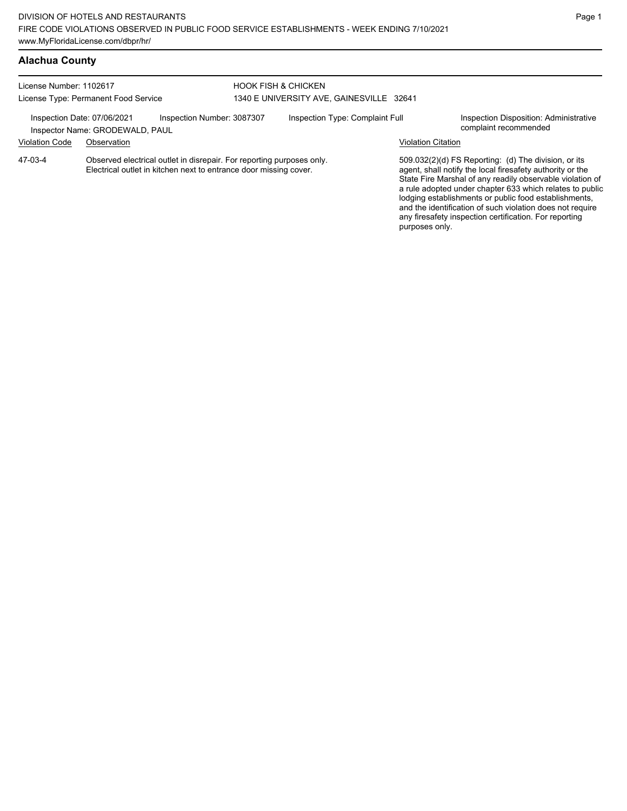| License Number: 1102617<br>License Type: Permanent Food Service |                                 | <b>HOOK FISH &amp; CHICKEN</b><br>1340 E UNIVERSITY AVE, GAINESVILLE 32641                                                                 |  |                                 |                    |                                                                                                                                                                                                                                                                                                                                                                  |
|-----------------------------------------------------------------|---------------------------------|--------------------------------------------------------------------------------------------------------------------------------------------|--|---------------------------------|--------------------|------------------------------------------------------------------------------------------------------------------------------------------------------------------------------------------------------------------------------------------------------------------------------------------------------------------------------------------------------------------|
| Inspection Date: 07/06/2021                                     | Inspector Name: GRODEWALD, PAUL | Inspection Number: 3087307                                                                                                                 |  | Inspection Type: Complaint Full |                    | Inspection Disposition: Administrative<br>complaint recommended                                                                                                                                                                                                                                                                                                  |
| <b>Violation Code</b>                                           | Observation                     |                                                                                                                                            |  |                                 | Violation Citation |                                                                                                                                                                                                                                                                                                                                                                  |
| 47-03-4                                                         |                                 | Observed electrical outlet in disrepair. For reporting purposes only.<br>Electrical outlet in kitchen next to entrance door missing cover. |  |                                 |                    | 509.032(2)(d) FS Reporting: (d) The division, or its<br>agent, shall notify the local firesafety authority or the<br>State Fire Marshal of any readily observable violation of<br>a rule adopted under chapter 633 which relates to public<br>lodging establishments or public food establishments,<br>and the identification of such violation does not require |

any firesafety inspection certification. For reporting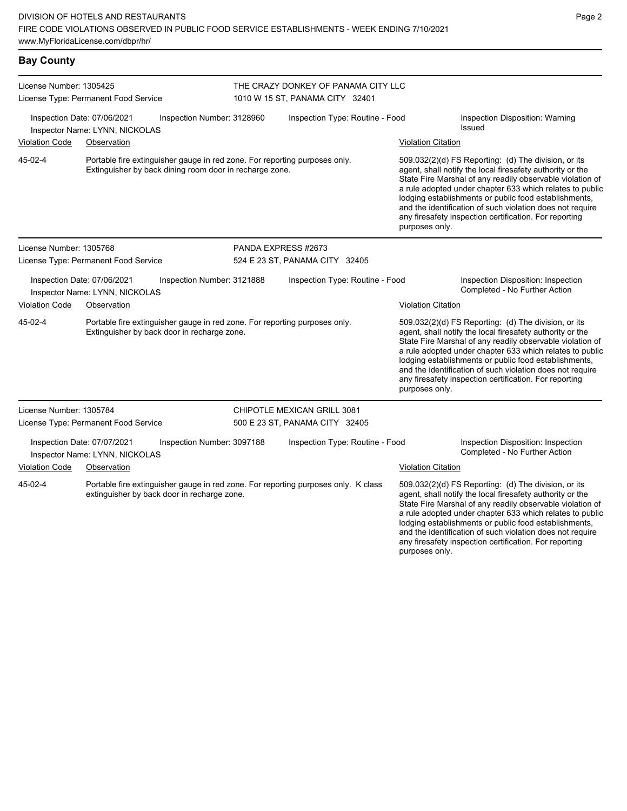| <b>Bay County</b>                                                                           |                                                                                                                                       |                                                                        |                                                                                                                                                                                                                                                                                                                                                                                                                                              |                                                                                                                                                                                                                                                                                                                                                                                                                            |  |  |
|---------------------------------------------------------------------------------------------|---------------------------------------------------------------------------------------------------------------------------------------|------------------------------------------------------------------------|----------------------------------------------------------------------------------------------------------------------------------------------------------------------------------------------------------------------------------------------------------------------------------------------------------------------------------------------------------------------------------------------------------------------------------------------|----------------------------------------------------------------------------------------------------------------------------------------------------------------------------------------------------------------------------------------------------------------------------------------------------------------------------------------------------------------------------------------------------------------------------|--|--|
| License Number: 1305425                                                                     | License Type: Permanent Food Service                                                                                                  | THE CRAZY DONKEY OF PANAMA CITY LLC<br>1010 W 15 ST, PANAMA CITY 32401 |                                                                                                                                                                                                                                                                                                                                                                                                                                              |                                                                                                                                                                                                                                                                                                                                                                                                                            |  |  |
|                                                                                             | Inspection Date: 07/06/2021<br>Inspection Number: 3128960<br>Inspector Name: LYNN, NICKOLAS                                           | Inspection Type: Routine - Food                                        |                                                                                                                                                                                                                                                                                                                                                                                                                                              | Inspection Disposition: Warning<br><b>Issued</b>                                                                                                                                                                                                                                                                                                                                                                           |  |  |
| <b>Violation Code</b>                                                                       | Observation                                                                                                                           |                                                                        | <b>Violation Citation</b>                                                                                                                                                                                                                                                                                                                                                                                                                    |                                                                                                                                                                                                                                                                                                                                                                                                                            |  |  |
| 45-02-4                                                                                     | Portable fire extinguisher gauge in red zone. For reporting purposes only.<br>Extinguisher by back dining room door in recharge zone. |                                                                        | 509.032(2)(d) FS Reporting: (d) The division, or its<br>agent, shall notify the local firesafety authority or the<br>State Fire Marshal of any readily observable violation of<br>a rule adopted under chapter 633 which relates to public<br>lodging establishments or public food establishments,<br>and the identification of such violation does not require<br>any firesafety inspection certification. For reporting<br>purposes only. |                                                                                                                                                                                                                                                                                                                                                                                                                            |  |  |
| License Number: 1305768                                                                     |                                                                                                                                       | PANDA EXPRESS #2673                                                    |                                                                                                                                                                                                                                                                                                                                                                                                                                              |                                                                                                                                                                                                                                                                                                                                                                                                                            |  |  |
| License Type: Permanent Food Service                                                        |                                                                                                                                       | 524 E 23 ST, PANAMA CITY 32405                                         |                                                                                                                                                                                                                                                                                                                                                                                                                                              |                                                                                                                                                                                                                                                                                                                                                                                                                            |  |  |
| Inspection Date: 07/06/2021<br>Inspection Number: 3121888<br>Inspector Name: LYNN, NICKOLAS |                                                                                                                                       | Inspection Type: Routine - Food                                        |                                                                                                                                                                                                                                                                                                                                                                                                                                              | Inspection Disposition: Inspection<br>Completed - No Further Action                                                                                                                                                                                                                                                                                                                                                        |  |  |
| <b>Violation Code</b>                                                                       | Observation                                                                                                                           |                                                                        | <b>Violation Citation</b>                                                                                                                                                                                                                                                                                                                                                                                                                    |                                                                                                                                                                                                                                                                                                                                                                                                                            |  |  |
| 45-02-4                                                                                     | Portable fire extinguisher gauge in red zone. For reporting purposes only.<br>Extinguisher by back door in recharge zone.             |                                                                        | purposes only.                                                                                                                                                                                                                                                                                                                                                                                                                               | 509.032(2)(d) FS Reporting: (d) The division, or its<br>agent, shall notify the local firesafety authority or the<br>State Fire Marshal of any readily observable violation of<br>a rule adopted under chapter 633 which relates to public<br>lodging establishments or public food establishments,<br>and the identification of such violation does not require<br>any firesafety inspection certification. For reporting |  |  |
| License Number: 1305784                                                                     | License Type: Permanent Food Service                                                                                                  | <b>CHIPOTLE MEXICAN GRILL 3081</b><br>500 E 23 ST, PANAMA CITY 32405   |                                                                                                                                                                                                                                                                                                                                                                                                                                              |                                                                                                                                                                                                                                                                                                                                                                                                                            |  |  |
|                                                                                             | Inspection Date: 07/07/2021<br>Inspection Number: 3097188<br>Inspector Name: LYNN, NICKOLAS                                           | Inspection Type: Routine - Food                                        |                                                                                                                                                                                                                                                                                                                                                                                                                                              | Inspection Disposition: Inspection<br>Completed - No Further Action                                                                                                                                                                                                                                                                                                                                                        |  |  |
| <b>Violation Code</b>                                                                       | Observation                                                                                                                           |                                                                        | <b>Violation Citation</b>                                                                                                                                                                                                                                                                                                                                                                                                                    |                                                                                                                                                                                                                                                                                                                                                                                                                            |  |  |
| 45-02-4                                                                                     | Portable fire extinguisher gauge in red zone. For reporting purposes only. K class<br>extinguisher by back door in recharge zone.     |                                                                        |                                                                                                                                                                                                                                                                                                                                                                                                                                              | 509.032(2)(d) FS Reporting: (d) The division, or its<br>agent, shall notify the local firesafety authority or the<br>State Fire Marshal of any readily observable violation of<br>a rule adopted under chapter 633 which relates to public                                                                                                                                                                                 |  |  |

lodging establishments or public food establishments, and the identification of such violation does not require any firesafety inspection certification. For reporting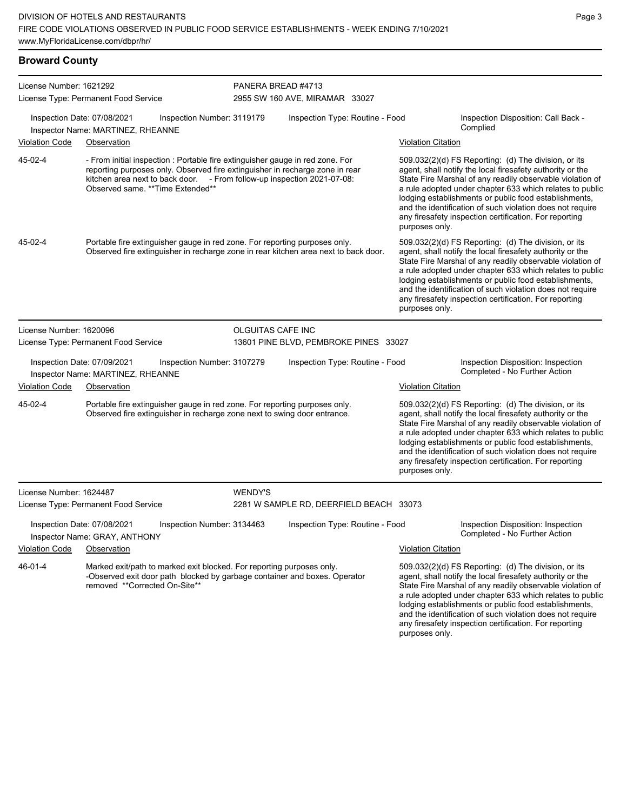## **Broward County**

| License Number: 1621292 | License Type: Permanent Food Service                                                                                                                                                                                                                                         |                            | PANERA BREAD #4713<br>2955 SW 160 AVE, MIRAMAR 33027 |                           |                                                                                                                                                                                                                                                                                                                                                                                                                            |  |  |
|-------------------------|------------------------------------------------------------------------------------------------------------------------------------------------------------------------------------------------------------------------------------------------------------------------------|----------------------------|------------------------------------------------------|---------------------------|----------------------------------------------------------------------------------------------------------------------------------------------------------------------------------------------------------------------------------------------------------------------------------------------------------------------------------------------------------------------------------------------------------------------------|--|--|
|                         |                                                                                                                                                                                                                                                                              |                            |                                                      |                           |                                                                                                                                                                                                                                                                                                                                                                                                                            |  |  |
|                         | Inspection Date: 07/08/2021<br>Inspector Name: MARTINEZ, RHEANNE                                                                                                                                                                                                             | Inspection Number: 3119179 | Inspection Type: Routine - Food                      |                           | Inspection Disposition: Call Back -<br>Complied                                                                                                                                                                                                                                                                                                                                                                            |  |  |
| Violation Code          | Observation                                                                                                                                                                                                                                                                  |                            |                                                      | <b>Violation Citation</b> |                                                                                                                                                                                                                                                                                                                                                                                                                            |  |  |
| 45-02-4                 | - From initial inspection : Portable fire extinguisher gauge in red zone. For<br>reporting purposes only. Observed fire extinguisher in recharge zone in rear<br>kitchen area next to back door. - From follow-up inspection 2021-07-08:<br>Observed same. **Time Extended** |                            |                                                      | purposes only.            | 509.032(2)(d) FS Reporting: (d) The division, or its<br>agent, shall notify the local firesafety authority or the<br>State Fire Marshal of any readily observable violation of<br>a rule adopted under chapter 633 which relates to public<br>lodging establishments or public food establishments,<br>and the identification of such violation does not require<br>any firesafety inspection certification. For reporting |  |  |
| 45-02-4                 | Portable fire extinguisher gauge in red zone. For reporting purposes only.<br>Observed fire extinguisher in recharge zone in rear kitchen area next to back door.                                                                                                            |                            |                                                      | purposes only.            | 509.032(2)(d) FS Reporting: (d) The division, or its<br>agent, shall notify the local firesafety authority or the<br>State Fire Marshal of any readily observable violation of<br>a rule adopted under chapter 633 which relates to public<br>lodging establishments or public food establishments,<br>and the identification of such violation does not require<br>any firesafety inspection certification. For reporting |  |  |
| License Number: 1620096 |                                                                                                                                                                                                                                                                              | OLGUITAS CAFE INC          |                                                      |                           |                                                                                                                                                                                                                                                                                                                                                                                                                            |  |  |
|                         | License Type: Permanent Food Service                                                                                                                                                                                                                                         |                            | 13601 PINE BLVD, PEMBROKE PINES 33027                |                           |                                                                                                                                                                                                                                                                                                                                                                                                                            |  |  |
|                         | Inspection Date: 07/09/2021<br>Inspector Name: MARTINEZ, RHEANNE                                                                                                                                                                                                             | Inspection Number: 3107279 | Inspection Type: Routine - Food                      |                           | Inspection Disposition: Inspection<br>Completed - No Further Action                                                                                                                                                                                                                                                                                                                                                        |  |  |
| <b>Violation Code</b>   | Observation                                                                                                                                                                                                                                                                  |                            |                                                      | <b>Violation Citation</b> |                                                                                                                                                                                                                                                                                                                                                                                                                            |  |  |
| 45-02-4                 | Portable fire extinguisher gauge in red zone. For reporting purposes only.<br>Observed fire extinguisher in recharge zone next to swing door entrance.                                                                                                                       |                            |                                                      | purposes only.            | 509.032(2)(d) FS Reporting: (d) The division, or its<br>agent, shall notify the local firesafety authority or the<br>State Fire Marshal of any readily observable violation of<br>a rule adopted under chapter 633 which relates to public<br>lodging establishments or public food establishments,<br>and the identification of such violation does not require<br>any firesafety inspection certification. For reporting |  |  |
| License Number: 1624487 |                                                                                                                                                                                                                                                                              | <b>WENDY'S</b>             |                                                      |                           |                                                                                                                                                                                                                                                                                                                                                                                                                            |  |  |
|                         | License Type: Permanent Food Service                                                                                                                                                                                                                                         |                            | 2281 W SAMPLE RD, DEERFIELD BEACH 33073              |                           |                                                                                                                                                                                                                                                                                                                                                                                                                            |  |  |
|                         | Inspection Date: 07/08/2021<br>Inspector Name: GRAY, ANTHONY                                                                                                                                                                                                                 | Inspection Number: 3134463 | Inspection Type: Routine - Food                      |                           | Inspection Disposition: Inspection<br>Completed - No Further Action                                                                                                                                                                                                                                                                                                                                                        |  |  |
| <b>Violation Code</b>   | Observation                                                                                                                                                                                                                                                                  |                            |                                                      | <b>Violation Citation</b> |                                                                                                                                                                                                                                                                                                                                                                                                                            |  |  |
| 46-01-4                 | Marked exit/path to marked exit blocked. For reporting purposes only.<br>-Observed exit door path blocked by garbage container and boxes. Operator<br>removed **Corrected On-Site**                                                                                          |                            |                                                      |                           | 509.032(2)(d) FS Reporting: (d) The division, or its<br>agent, shall notify the local firesafety authority or the<br>State Fire Marshal of any readily observable violation of<br>a rule adopted under chapter 633 which relates to public<br>lodging establishments or public food establishments,<br>and the identification of such violation does not require<br>any firesafety inspection certification. For reporting |  |  |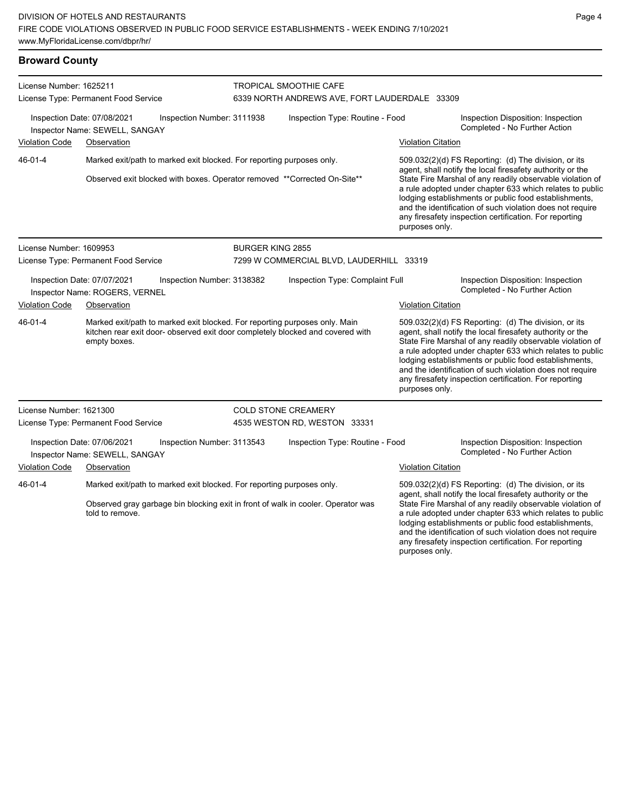# **Broward County**

| License Number: 1625211<br>License Type: Permanent Food Service |                                                                                                                                                                              |                            | TROPICAL SMOOTHIE CAFE<br>6339 NORTH ANDREWS AVE, FORT LAUDERDALE 33309 |                           |                                                                                                                                                                                                                                                                                                                                                                                                                            |  |  |
|-----------------------------------------------------------------|------------------------------------------------------------------------------------------------------------------------------------------------------------------------------|----------------------------|-------------------------------------------------------------------------|---------------------------|----------------------------------------------------------------------------------------------------------------------------------------------------------------------------------------------------------------------------------------------------------------------------------------------------------------------------------------------------------------------------------------------------------------------------|--|--|
|                                                                 | Inspection Date: 07/08/2021<br>Inspector Name: SEWELL, SANGAY                                                                                                                | Inspection Number: 3111938 | Inspection Type: Routine - Food                                         |                           | Inspection Disposition: Inspection<br>Completed - No Further Action                                                                                                                                                                                                                                                                                                                                                        |  |  |
| <b>Violation Code</b>                                           | Observation                                                                                                                                                                  |                            |                                                                         | <b>Violation Citation</b> |                                                                                                                                                                                                                                                                                                                                                                                                                            |  |  |
| 46-01-4                                                         | Marked exit/path to marked exit blocked. For reporting purposes only.                                                                                                        |                            |                                                                         |                           | 509.032(2)(d) FS Reporting: (d) The division, or its                                                                                                                                                                                                                                                                                                                                                                       |  |  |
|                                                                 | Observed exit blocked with boxes. Operator removed ** Corrected On-Site**                                                                                                    |                            |                                                                         | purposes only.            | agent, shall notify the local firesafety authority or the<br>State Fire Marshal of any readily observable violation of<br>a rule adopted under chapter 633 which relates to public<br>lodging establishments or public food establishments,<br>and the identification of such violation does not require<br>any firesafety inspection certification. For reporting                                                         |  |  |
| License Number: 1609953                                         |                                                                                                                                                                              | <b>BURGER KING 2855</b>    |                                                                         |                           |                                                                                                                                                                                                                                                                                                                                                                                                                            |  |  |
|                                                                 | License Type: Permanent Food Service                                                                                                                                         |                            | 7299 W COMMERCIAL BLVD, LAUDERHILL 33319                                |                           |                                                                                                                                                                                                                                                                                                                                                                                                                            |  |  |
|                                                                 | Inspection Date: 07/07/2021<br>Inspector Name: ROGERS, VERNEL                                                                                                                | Inspection Number: 3138382 | Inspection Type: Complaint Full                                         |                           | Inspection Disposition: Inspection<br>Completed - No Further Action                                                                                                                                                                                                                                                                                                                                                        |  |  |
| <b>Violation Code</b>                                           | Observation                                                                                                                                                                  |                            |                                                                         | <b>Violation Citation</b> |                                                                                                                                                                                                                                                                                                                                                                                                                            |  |  |
| 46-01-4                                                         | Marked exit/path to marked exit blocked. For reporting purposes only. Main<br>kitchen rear exit door- observed exit door completely blocked and covered with<br>empty boxes. |                            |                                                                         | purposes only.            | 509.032(2)(d) FS Reporting: (d) The division, or its<br>agent, shall notify the local firesafety authority or the<br>State Fire Marshal of any readily observable violation of<br>a rule adopted under chapter 633 which relates to public<br>lodging establishments or public food establishments,<br>and the identification of such violation does not require<br>any firesafety inspection certification. For reporting |  |  |
| License Number: 1621300                                         |                                                                                                                                                                              |                            | <b>COLD STONE CREAMERY</b>                                              |                           |                                                                                                                                                                                                                                                                                                                                                                                                                            |  |  |
|                                                                 | License Type: Permanent Food Service                                                                                                                                         |                            | 4535 WESTON RD, WESTON 33331                                            |                           |                                                                                                                                                                                                                                                                                                                                                                                                                            |  |  |
|                                                                 | Inspection Date: 07/06/2021<br>Inspector Name: SEWELL, SANGAY                                                                                                                | Inspection Number: 3113543 | Inspection Type: Routine - Food                                         |                           | Inspection Disposition: Inspection<br>Completed - No Further Action                                                                                                                                                                                                                                                                                                                                                        |  |  |
| <b>Violation Code</b>                                           | Observation                                                                                                                                                                  |                            |                                                                         | <b>Violation Citation</b> |                                                                                                                                                                                                                                                                                                                                                                                                                            |  |  |
| 46-01-4                                                         | Marked exit/path to marked exit blocked. For reporting purposes only.<br>Observed gray garbage bin blocking exit in front of walk in cooler. Operator was<br>told to remove. |                            |                                                                         | purposes only.            | 509.032(2)(d) FS Reporting: (d) The division, or its<br>agent, shall notify the local firesafety authority or the<br>State Fire Marshal of any readily observable violation of<br>a rule adopted under chapter 633 which relates to public<br>lodging establishments or public food establishments,<br>and the identification of such violation does not require<br>any firesafety inspection certification. For reporting |  |  |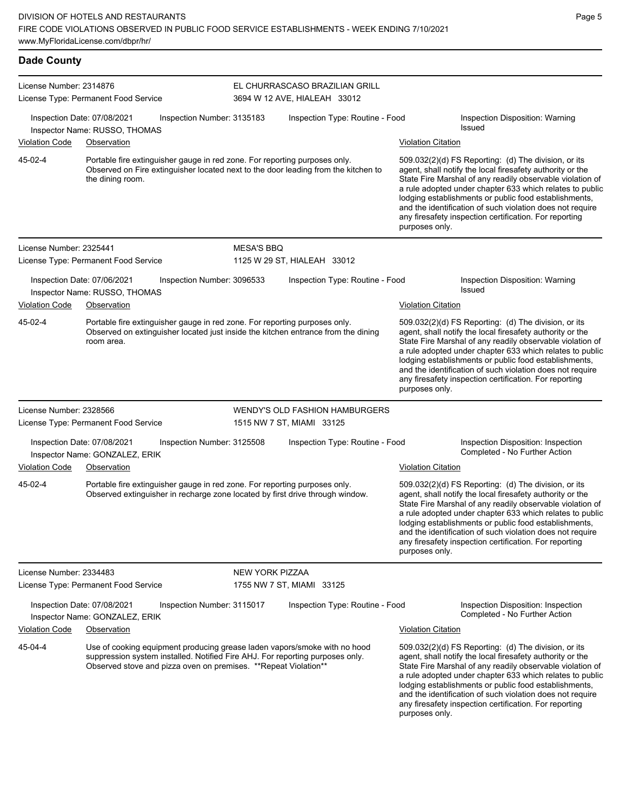| <b>Dade County</b>      |                                                                                                                                                                                                                                |                            |                                                                |                           |                                                                                                                                                                                                                                                                                                                                                                                                                            |  |  |
|-------------------------|--------------------------------------------------------------------------------------------------------------------------------------------------------------------------------------------------------------------------------|----------------------------|----------------------------------------------------------------|---------------------------|----------------------------------------------------------------------------------------------------------------------------------------------------------------------------------------------------------------------------------------------------------------------------------------------------------------------------------------------------------------------------------------------------------------------------|--|--|
| License Number: 2314876 | License Type: Permanent Food Service                                                                                                                                                                                           |                            | EL CHURRASCASO BRAZILIAN GRILL<br>3694 W 12 AVE, HIALEAH 33012 |                           |                                                                                                                                                                                                                                                                                                                                                                                                                            |  |  |
|                         | Inspection Date: 07/08/2021<br>Inspector Name: RUSSO, THOMAS                                                                                                                                                                   | Inspection Number: 3135183 | Inspection Type: Routine - Food                                |                           | Inspection Disposition: Warning<br>Issued                                                                                                                                                                                                                                                                                                                                                                                  |  |  |
| Violation Code          | Observation                                                                                                                                                                                                                    |                            |                                                                | Violation Citation        |                                                                                                                                                                                                                                                                                                                                                                                                                            |  |  |
| 45-02-4                 | Portable fire extinguisher gauge in red zone. For reporting purposes only.<br>Observed on Fire extinguisher located next to the door leading from the kitchen to<br>the dining room.                                           |                            |                                                                | purposes only.            | 509.032(2)(d) FS Reporting: (d) The division, or its<br>agent, shall notify the local firesafety authority or the<br>State Fire Marshal of any readily observable violation of<br>a rule adopted under chapter 633 which relates to public<br>lodging establishments or public food establishments,<br>and the identification of such violation does not require<br>any firesafety inspection certification. For reporting |  |  |
| License Number: 2325441 |                                                                                                                                                                                                                                | <b>MESA'S BBQ</b>          |                                                                |                           |                                                                                                                                                                                                                                                                                                                                                                                                                            |  |  |
|                         | License Type: Permanent Food Service                                                                                                                                                                                           |                            | 1125 W 29 ST, HIALEAH 33012                                    |                           |                                                                                                                                                                                                                                                                                                                                                                                                                            |  |  |
|                         | Inspection Date: 07/06/2021<br>Inspector Name: RUSSO, THOMAS                                                                                                                                                                   | Inspection Number: 3096533 | Inspection Type: Routine - Food                                |                           | Inspection Disposition: Warning<br><b>Issued</b>                                                                                                                                                                                                                                                                                                                                                                           |  |  |
| Violation Code          | Observation                                                                                                                                                                                                                    |                            |                                                                | <b>Violation Citation</b> |                                                                                                                                                                                                                                                                                                                                                                                                                            |  |  |
| 45-02-4                 | Portable fire extinguisher gauge in red zone. For reporting purposes only.<br>Observed on extinguisher located just inside the kitchen entrance from the dining<br>room area.                                                  |                            |                                                                | purposes only.            | 509.032(2)(d) FS Reporting: (d) The division, or its<br>agent, shall notify the local firesafety authority or the<br>State Fire Marshal of any readily observable violation of<br>a rule adopted under chapter 633 which relates to public<br>lodging establishments or public food establishments,<br>and the identification of such violation does not require<br>any firesafety inspection certification. For reporting |  |  |
| License Number: 2328566 |                                                                                                                                                                                                                                |                            | WENDY'S OLD FASHION HAMBURGERS                                 |                           |                                                                                                                                                                                                                                                                                                                                                                                                                            |  |  |
|                         | License Type: Permanent Food Service                                                                                                                                                                                           |                            | 1515 NW 7 ST, MIAMI 33125                                      |                           |                                                                                                                                                                                                                                                                                                                                                                                                                            |  |  |
|                         | Inspection Date: 07/08/2021<br>Inspector Name: GONZALEZ, ERIK                                                                                                                                                                  | Inspection Number: 3125508 | Inspection Type: Routine - Food                                |                           | Inspection Disposition: Inspection<br>Completed - No Further Action                                                                                                                                                                                                                                                                                                                                                        |  |  |
| <b>Violation Code</b>   | Observation                                                                                                                                                                                                                    |                            |                                                                | <b>Violation Citation</b> |                                                                                                                                                                                                                                                                                                                                                                                                                            |  |  |
| 45-02-4                 | Portable fire extinguisher gauge in red zone. For reporting purposes only.<br>Observed extinguisher in recharge zone located by first drive through window.                                                                    |                            |                                                                | purposes only.            | 509.032(2)(d) FS Reporting: (d) The division, or its<br>agent, shall notify the local firesafety authority or the<br>State Fire Marshal of any readily observable violation of<br>a rule adopted under chapter 633 which relates to public<br>lodging establishments or public food establishments,<br>and the identification of such violation does not require<br>any firesafety inspection certification. For reporting |  |  |
| License Number: 2334483 |                                                                                                                                                                                                                                | <b>NEW YORK PIZZAA</b>     |                                                                |                           |                                                                                                                                                                                                                                                                                                                                                                                                                            |  |  |
|                         | License Type: Permanent Food Service                                                                                                                                                                                           |                            | 1755 NW 7 ST, MIAMI 33125                                      |                           |                                                                                                                                                                                                                                                                                                                                                                                                                            |  |  |
|                         | Inspection Date: 07/08/2021<br>Inspector Name: GONZALEZ, ERIK                                                                                                                                                                  | Inspection Number: 3115017 | Inspection Type: Routine - Food                                |                           | Inspection Disposition: Inspection<br>Completed - No Further Action                                                                                                                                                                                                                                                                                                                                                        |  |  |
| Violation Code          | Observation                                                                                                                                                                                                                    |                            |                                                                | <b>Violation Citation</b> |                                                                                                                                                                                                                                                                                                                                                                                                                            |  |  |
| 45-04-4                 | Use of cooking equipment producing grease laden vapors/smoke with no hood<br>suppression system installed. Notified Fire AHJ. For reporting purposes only.<br>Observed stove and pizza oven on premises. ** Repeat Violation** |                            |                                                                |                           | 509.032(2)(d) FS Reporting: (d) The division, or its<br>agent, shall notify the local firesafety authority or the<br>State Fire Marshal of any readily observable violation of<br>a rule adopted under chapter 633 which relates to public                                                                                                                                                                                 |  |  |

lodging establishments or public food establishments, and the identification of such violation does not require any firesafety inspection certification. For reporting purposes only.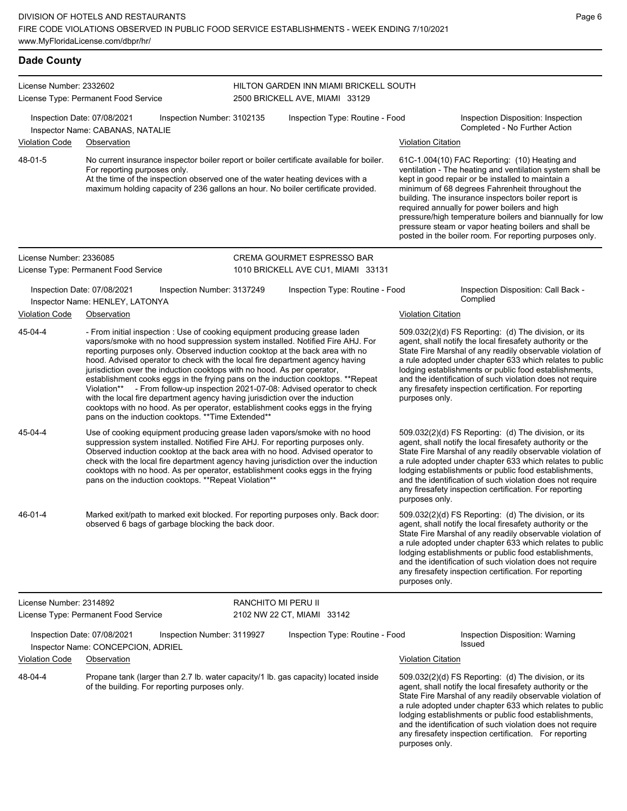| <b>Dade County</b>                   |                                                                                                                                                                                                                                                                                                                                                                                                                                                                                                                                                                                                                                                                                                                                                                                                      |                     |                                                                          |                                                                                                                                                                                                                                                                                                                                                                                                                                                                                                          |                                                                                                                                                                                                                                                                                                                                                                                                                            |
|--------------------------------------|------------------------------------------------------------------------------------------------------------------------------------------------------------------------------------------------------------------------------------------------------------------------------------------------------------------------------------------------------------------------------------------------------------------------------------------------------------------------------------------------------------------------------------------------------------------------------------------------------------------------------------------------------------------------------------------------------------------------------------------------------------------------------------------------------|---------------------|--------------------------------------------------------------------------|----------------------------------------------------------------------------------------------------------------------------------------------------------------------------------------------------------------------------------------------------------------------------------------------------------------------------------------------------------------------------------------------------------------------------------------------------------------------------------------------------------|----------------------------------------------------------------------------------------------------------------------------------------------------------------------------------------------------------------------------------------------------------------------------------------------------------------------------------------------------------------------------------------------------------------------------|
| License Number: 2332602              | License Type: Permanent Food Service                                                                                                                                                                                                                                                                                                                                                                                                                                                                                                                                                                                                                                                                                                                                                                 |                     | HILTON GARDEN INN MIAMI BRICKELL SOUTH<br>2500 BRICKELL AVE, MIAMI 33129 |                                                                                                                                                                                                                                                                                                                                                                                                                                                                                                          |                                                                                                                                                                                                                                                                                                                                                                                                                            |
|                                      | Inspection Date: 07/08/2021<br>Inspection Number: 3102135<br>Inspector Name: CABANAS, NATALIE                                                                                                                                                                                                                                                                                                                                                                                                                                                                                                                                                                                                                                                                                                        |                     | Inspection Type: Routine - Food                                          |                                                                                                                                                                                                                                                                                                                                                                                                                                                                                                          | Inspection Disposition: Inspection<br>Completed - No Further Action                                                                                                                                                                                                                                                                                                                                                        |
| <b>Violation Code</b>                | Observation                                                                                                                                                                                                                                                                                                                                                                                                                                                                                                                                                                                                                                                                                                                                                                                          |                     |                                                                          | <b>Violation Citation</b>                                                                                                                                                                                                                                                                                                                                                                                                                                                                                |                                                                                                                                                                                                                                                                                                                                                                                                                            |
| 48-01-5                              | No current insurance inspector boiler report or boiler certificate available for boiler.<br>For reporting purposes only.<br>At the time of the inspection observed one of the water heating devices with a<br>maximum holding capacity of 236 gallons an hour. No boiler certificate provided.                                                                                                                                                                                                                                                                                                                                                                                                                                                                                                       |                     |                                                                          | 61C-1.004(10) FAC Reporting: (10) Heating and<br>ventilation - The heating and ventilation system shall be<br>kept in good repair or be installed to maintain a<br>minimum of 68 degrees Fahrenheit throughout the<br>building. The insurance inspectors boiler report is<br>required annually for power boilers and high<br>pressure/high temperature boilers and biannually for low<br>pressure steam or vapor heating boilers and shall be<br>posted in the boiler room. For reporting purposes only. |                                                                                                                                                                                                                                                                                                                                                                                                                            |
| License Number: 2336085              |                                                                                                                                                                                                                                                                                                                                                                                                                                                                                                                                                                                                                                                                                                                                                                                                      |                     | CREMA GOURMET ESPRESSO BAR                                               |                                                                                                                                                                                                                                                                                                                                                                                                                                                                                                          |                                                                                                                                                                                                                                                                                                                                                                                                                            |
|                                      | License Type: Permanent Food Service                                                                                                                                                                                                                                                                                                                                                                                                                                                                                                                                                                                                                                                                                                                                                                 |                     | 1010 BRICKELL AVE CU1, MIAMI 33131                                       |                                                                                                                                                                                                                                                                                                                                                                                                                                                                                                          |                                                                                                                                                                                                                                                                                                                                                                                                                            |
|                                      | Inspection Date: 07/08/2021<br>Inspection Number: 3137249<br>Inspector Name: HENLEY, LATONYA                                                                                                                                                                                                                                                                                                                                                                                                                                                                                                                                                                                                                                                                                                         |                     | Inspection Type: Routine - Food                                          |                                                                                                                                                                                                                                                                                                                                                                                                                                                                                                          | Inspection Disposition: Call Back -<br>Complied                                                                                                                                                                                                                                                                                                                                                                            |
| <b>Violation Code</b><br>Observation |                                                                                                                                                                                                                                                                                                                                                                                                                                                                                                                                                                                                                                                                                                                                                                                                      |                     |                                                                          | <b>Violation Citation</b>                                                                                                                                                                                                                                                                                                                                                                                                                                                                                |                                                                                                                                                                                                                                                                                                                                                                                                                            |
| 45-04-4                              | - From initial inspection : Use of cooking equipment producing grease laden<br>vapors/smoke with no hood suppression system installed. Notified Fire AHJ. For<br>reporting purposes only. Observed induction cooktop at the back area with no<br>hood. Advised operator to check with the local fire department agency having<br>jurisdiction over the induction cooktops with no hood. As per operator,<br>establishment cooks eggs in the frying pans on the induction cooktops. **Repeat<br>Violation** - From follow-up inspection 2021-07-08: Advised operator to check<br>with the local fire department agency having jurisdiction over the induction<br>cooktops with no hood. As per operator, establishment cooks eggs in the frying<br>pans on the induction cooktops. ** Time Extended** |                     |                                                                          | purposes only.                                                                                                                                                                                                                                                                                                                                                                                                                                                                                           | 509.032(2)(d) FS Reporting: (d) The division, or its<br>agent, shall notify the local firesafety authority or the<br>State Fire Marshal of any readily observable violation of<br>a rule adopted under chapter 633 which relates to public<br>lodging establishments or public food establishments,<br>and the identification of such violation does not require<br>any firesafety inspection certification. For reporting |
| 45-04-4                              | Use of cooking equipment producing grease laden vapors/smoke with no hood<br>suppression system installed. Notified Fire AHJ. For reporting purposes only.<br>Observed induction cooktop at the back area with no hood. Advised operator to<br>check with the local fire department agency having jurisdiction over the induction<br>cooktops with no hood. As per operator, establishment cooks eggs in the frying<br>pans on the induction cooktops. **Repeat Violation**                                                                                                                                                                                                                                                                                                                          |                     |                                                                          | purposes only.                                                                                                                                                                                                                                                                                                                                                                                                                                                                                           | 509.032(2)(d) FS Reporting: (d) The division, or its<br>agent, shall notify the local firesafety authority or the<br>State Fire Marshal of any readily observable violation of<br>a rule adopted under chapter 633 which relates to public<br>lodging establishments or public food establishments,<br>and the identification of such violation does not require<br>any firesafety inspection certification. For reporting |
| 46-01-4                              | Marked exit/path to marked exit blocked. For reporting purposes only. Back door:<br>observed 6 bags of garbage blocking the back door.                                                                                                                                                                                                                                                                                                                                                                                                                                                                                                                                                                                                                                                               |                     |                                                                          | purposes only.                                                                                                                                                                                                                                                                                                                                                                                                                                                                                           | 509.032(2)(d) FS Reporting: (d) The division, or its<br>agent, shall notify the local firesafety authority or the<br>State Fire Marshal of any readily observable violation of<br>a rule adopted under chapter 633 which relates to public<br>lodging establishments or public food establishments,<br>and the identification of such violation does not require<br>any firesafety inspection certification. For reporting |
| License Number: 2314892              |                                                                                                                                                                                                                                                                                                                                                                                                                                                                                                                                                                                                                                                                                                                                                                                                      | RANCHITO MI PERU II |                                                                          |                                                                                                                                                                                                                                                                                                                                                                                                                                                                                                          |                                                                                                                                                                                                                                                                                                                                                                                                                            |
|                                      | License Type: Permanent Food Service                                                                                                                                                                                                                                                                                                                                                                                                                                                                                                                                                                                                                                                                                                                                                                 |                     | 2102 NW 22 CT, MIAMI 33142                                               |                                                                                                                                                                                                                                                                                                                                                                                                                                                                                                          |                                                                                                                                                                                                                                                                                                                                                                                                                            |
|                                      | Inspection Date: 07/08/2021<br>Inspection Number: 3119927<br>Inspector Name: CONCEPCION, ADRIEL                                                                                                                                                                                                                                                                                                                                                                                                                                                                                                                                                                                                                                                                                                      |                     | Inspection Type: Routine - Food                                          |                                                                                                                                                                                                                                                                                                                                                                                                                                                                                                          | Inspection Disposition: Warning<br>Issued                                                                                                                                                                                                                                                                                                                                                                                  |
| Violation Code                       | Observation                                                                                                                                                                                                                                                                                                                                                                                                                                                                                                                                                                                                                                                                                                                                                                                          |                     |                                                                          | <b>Violation Citation</b>                                                                                                                                                                                                                                                                                                                                                                                                                                                                                |                                                                                                                                                                                                                                                                                                                                                                                                                            |
| 48-04-4                              | Propane tank (larger than 2.7 lb. water capacity/1 lb. gas capacity) located inside<br>of the building. For reporting purposes only.                                                                                                                                                                                                                                                                                                                                                                                                                                                                                                                                                                                                                                                                 |                     |                                                                          |                                                                                                                                                                                                                                                                                                                                                                                                                                                                                                          | 509.032(2)(d) FS Reporting: (d) The division, or its<br>agent, shall notify the local firesafety authority or the<br>State Fire Marshal of any readily observable violation of<br>a rule adopted under chapter 633 which relates to public<br>lodging establishments or public food establishments,                                                                                                                        |

Page 6

and the identification of such violation does not require any firesafety inspection certification. For reporting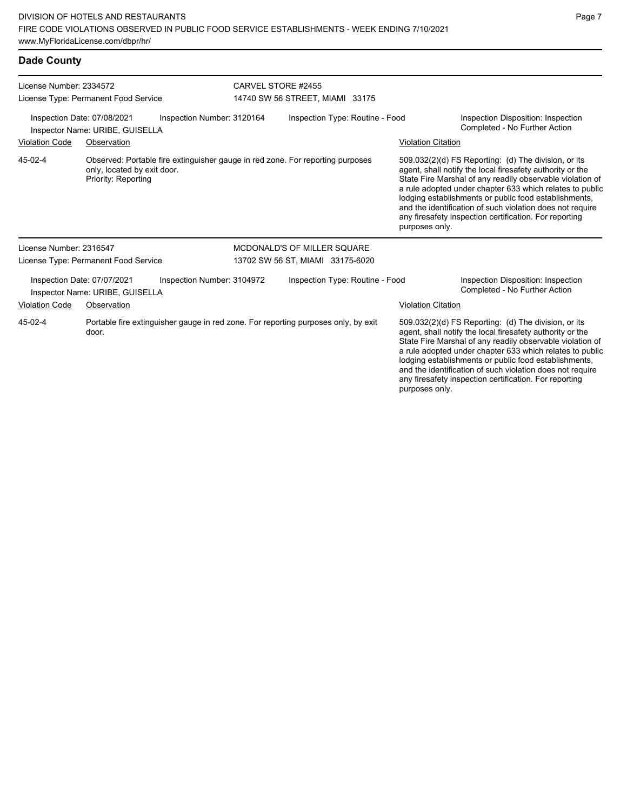# **Dade County**

| License Number: 2334572                                                                      |                                                                |                                                                                    | CARVEL STORE #2455              |                                  |  |                                                                     |                                                                                                                                                                                                                                                                                                                                                                                                                            |
|----------------------------------------------------------------------------------------------|----------------------------------------------------------------|------------------------------------------------------------------------------------|---------------------------------|----------------------------------|--|---------------------------------------------------------------------|----------------------------------------------------------------------------------------------------------------------------------------------------------------------------------------------------------------------------------------------------------------------------------------------------------------------------------------------------------------------------------------------------------------------------|
|                                                                                              | License Type: Permanent Food Service                           |                                                                                    | 14740 SW 56 STREET, MIAMI 33175 |                                  |  |                                                                     |                                                                                                                                                                                                                                                                                                                                                                                                                            |
| Inspection Number: 3120164<br>Inspection Date: 07/08/2021<br>Inspector Name: URIBE, GUISELLA |                                                                |                                                                                    | Inspection Type: Routine - Food |                                  |  | Inspection Disposition: Inspection<br>Completed - No Further Action |                                                                                                                                                                                                                                                                                                                                                                                                                            |
| <b>Violation Code</b>                                                                        | Observation                                                    |                                                                                    |                                 |                                  |  | <b>Violation Citation</b>                                           |                                                                                                                                                                                                                                                                                                                                                                                                                            |
| 45-02-4                                                                                      | only, located by exit door.<br>Priority: Reporting             | Observed: Portable fire extinguisher gauge in red zone. For reporting purposes     |                                 |                                  |  | purposes only.                                                      | 509.032(2)(d) FS Reporting: (d) The division, or its<br>agent, shall notify the local firesafety authority or the<br>State Fire Marshal of any readily observable violation of<br>a rule adopted under chapter 633 which relates to public<br>lodging establishments or public food establishments,<br>and the identification of such violation does not require<br>any firesafety inspection certification. For reporting |
| License Number: 2316547                                                                      |                                                                |                                                                                    |                                 | MCDONALD'S OF MILLER SQUARE      |  |                                                                     |                                                                                                                                                                                                                                                                                                                                                                                                                            |
|                                                                                              | License Type: Permanent Food Service                           |                                                                                    |                                 | 13702 SW 56 ST, MIAMI 33175-6020 |  |                                                                     |                                                                                                                                                                                                                                                                                                                                                                                                                            |
|                                                                                              | Inspection Date: 07/07/2021<br>Inspector Name: URIBE, GUISELLA | Inspection Number: 3104972                                                         |                                 | Inspection Type: Routine - Food  |  |                                                                     | Inspection Disposition: Inspection<br>Completed - No Further Action                                                                                                                                                                                                                                                                                                                                                        |
| <b>Violation Code</b>                                                                        | Observation                                                    |                                                                                    |                                 |                                  |  | <b>Violation Citation</b>                                           |                                                                                                                                                                                                                                                                                                                                                                                                                            |
| 45-02-4                                                                                      | door.                                                          | Portable fire extinguisher gauge in red zone. For reporting purposes only, by exit |                                 |                                  |  |                                                                     | 509.032(2)(d) FS Reporting: (d) The division, or its<br>agent, shall notify the local firesafety authority or the<br>State Fire Marshal of any readily observable violation of<br>a rule adopted under chapter 633 which relates to public<br>lodging establishments or public food establishments,<br>and the identification of such violation does not require                                                           |

any firesafety inspection certification. For reporting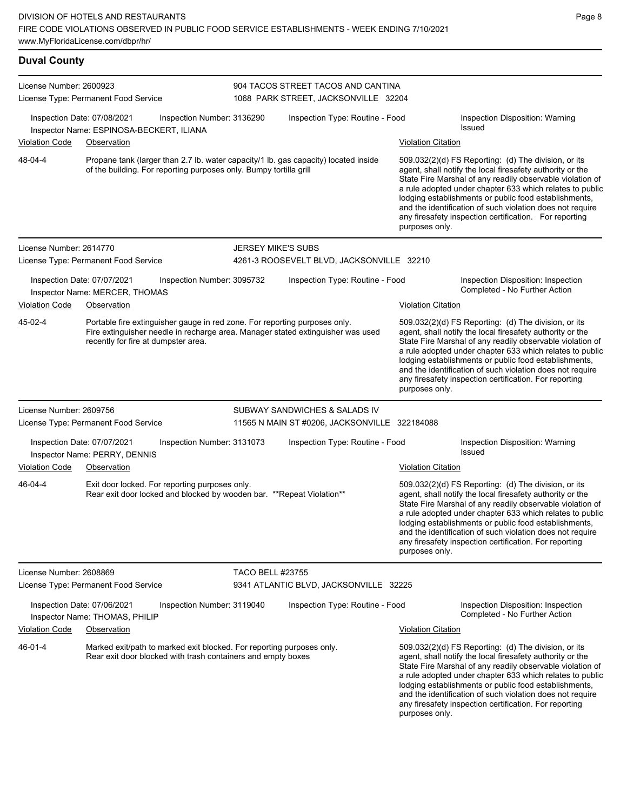| <b>Duval County</b>     |                                                                                                                                       |                            |                                                                                     |                           |                                                                                                                                                                                                                                                                                                                                                                                                                              |
|-------------------------|---------------------------------------------------------------------------------------------------------------------------------------|----------------------------|-------------------------------------------------------------------------------------|---------------------------|------------------------------------------------------------------------------------------------------------------------------------------------------------------------------------------------------------------------------------------------------------------------------------------------------------------------------------------------------------------------------------------------------------------------------|
| License Number: 2600923 | License Type: Permanent Food Service                                                                                                  |                            | 904 TACOS STREET TACOS AND CANTINA<br>1068 PARK STREET, JACKSONVILLE 32204          |                           |                                                                                                                                                                                                                                                                                                                                                                                                                              |
| Violation Code          | Inspection Date: 07/08/2021<br>Inspector Name: ESPINOSA-BECKERT, ILIANA<br>Observation                                                | Inspection Number: 3136290 | Inspection Type: Routine - Food                                                     | <b>Violation Citation</b> | Inspection Disposition: Warning<br><b>Issued</b>                                                                                                                                                                                                                                                                                                                                                                             |
| 48-04-4                 | of the building. For reporting purposes only. Bumpy tortilla grill                                                                    |                            | Propane tank (larger than 2.7 lb. water capacity/1 lb. gas capacity) located inside | purposes only.            | $509.032(2)(d)$ FS Reporting: (d) The division, or its<br>agent, shall notify the local firesafety authority or the<br>State Fire Marshal of any readily observable violation of<br>a rule adopted under chapter 633 which relates to public<br>lodging establishments or public food establishments,<br>and the identification of such violation does not require<br>any firesafety inspection certification. For reporting |
| License Number: 2614770 |                                                                                                                                       | <b>JERSEY MIKE'S SUBS</b>  |                                                                                     |                           |                                                                                                                                                                                                                                                                                                                                                                                                                              |
|                         | License Type: Permanent Food Service                                                                                                  |                            | 4261-3 ROOSEVELT BLVD, JACKSONVILLE 32210                                           |                           |                                                                                                                                                                                                                                                                                                                                                                                                                              |
|                         | Inspection Date: 07/07/2021<br>Inspector Name: MERCER, THOMAS                                                                         | Inspection Number: 3095732 | Inspection Type: Routine - Food                                                     |                           | Inspection Disposition: Inspection<br>Completed - No Further Action                                                                                                                                                                                                                                                                                                                                                          |
| <b>Violation Code</b>   | Observation                                                                                                                           |                            |                                                                                     | <b>Violation Citation</b> |                                                                                                                                                                                                                                                                                                                                                                                                                              |
| 45-02-4                 | Portable fire extinguisher gauge in red zone. For reporting purposes only.<br>recently for fire at dumpster area.                     |                            | Fire extinguisher needle in recharge area. Manager stated extinguisher was used     | purposes only.            | 509.032(2)(d) FS Reporting: (d) The division, or its<br>agent, shall notify the local firesafety authority or the<br>State Fire Marshal of any readily observable violation of<br>a rule adopted under chapter 633 which relates to public<br>lodging establishments or public food establishments,<br>and the identification of such violation does not require<br>any firesafety inspection certification. For reporting   |
| License Number: 2609756 |                                                                                                                                       |                            | SUBWAY SANDWICHES & SALADS IV                                                       |                           |                                                                                                                                                                                                                                                                                                                                                                                                                              |
|                         | License Type: Permanent Food Service                                                                                                  |                            | 11565 N MAIN ST #0206, JACKSONVILLE 322184088                                       |                           |                                                                                                                                                                                                                                                                                                                                                                                                                              |
|                         | Inspection Date: 07/07/2021<br>Inspector Name: PERRY, DENNIS                                                                          | Inspection Number: 3131073 | Inspection Type: Routine - Food                                                     |                           | Inspection Disposition: Warning<br><b>Issued</b>                                                                                                                                                                                                                                                                                                                                                                             |
| <b>Violation Code</b>   | Observation                                                                                                                           |                            |                                                                                     | <b>Violation Citation</b> |                                                                                                                                                                                                                                                                                                                                                                                                                              |
| 46-04-4                 | Exit door locked. For reporting purposes only.<br>Rear exit door locked and blocked by wooden bar. ** Repeat Violation**              |                            |                                                                                     | purposes only.            | 509.032(2)(d) FS Reporting: (d) The division, or its<br>agent, shall notify the local firesafety authority or the<br>State Fire Marshal of any readily observable violation of<br>a rule adopted under chapter 633 which relates to public<br>lodging establishments or public food establishments,<br>and the identification of such violation does not require<br>any firesafety inspection certification. For reporting   |
| License Number: 2608869 |                                                                                                                                       | <b>TACO BELL #23755</b>    |                                                                                     |                           |                                                                                                                                                                                                                                                                                                                                                                                                                              |
|                         | License Type: Permanent Food Service                                                                                                  |                            | 9341 ATLANTIC BLVD, JACKSONVILLE 32225                                              |                           |                                                                                                                                                                                                                                                                                                                                                                                                                              |
|                         | Inspection Date: 07/06/2021<br>Inspector Name: THOMAS, PHILIP                                                                         | Inspection Number: 3119040 | Inspection Type: Routine - Food                                                     |                           | Inspection Disposition: Inspection<br>Completed - No Further Action                                                                                                                                                                                                                                                                                                                                                          |
| Violation Code          | Observation                                                                                                                           |                            |                                                                                     | <b>Violation Citation</b> |                                                                                                                                                                                                                                                                                                                                                                                                                              |
| 46-01-4                 | Marked exit/path to marked exit blocked. For reporting purposes only.<br>Rear exit door blocked with trash containers and empty boxes |                            |                                                                                     |                           | 509.032(2)(d) FS Reporting: (d) The division, or its<br>agent, shall notify the local firesafety authority or the<br>State Fire Marshal of any readily observable violation of<br>a rule adopted under chapter 633 which relates to public<br>lodging establishments or public food establishments,<br>and the identification of such violation does not require                                                             |

any firesafety inspection certification. For reporting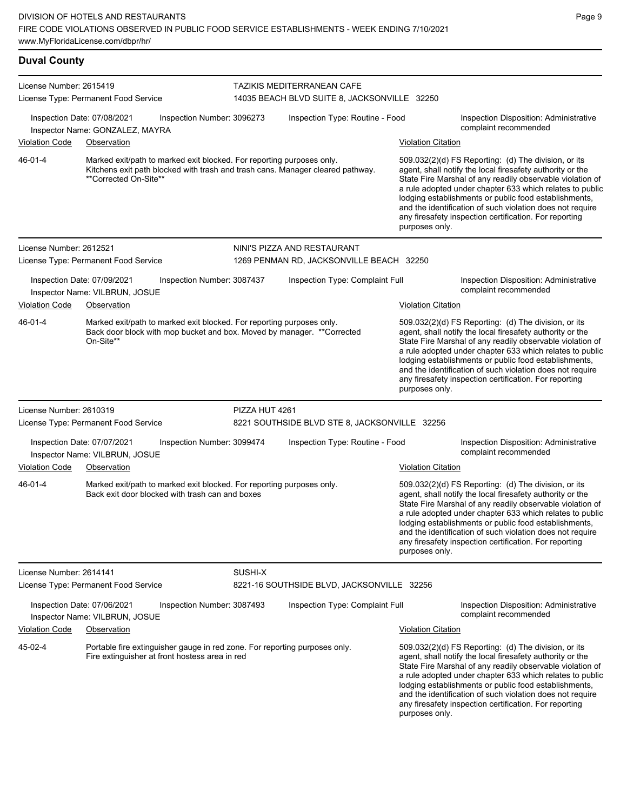| <b>Duval County</b>     |                                                                                                                                                                                  |                |                                                                            |                           |                                                                                                                                                                                                                                                                                                                                                                                                                              |
|-------------------------|----------------------------------------------------------------------------------------------------------------------------------------------------------------------------------|----------------|----------------------------------------------------------------------------|---------------------------|------------------------------------------------------------------------------------------------------------------------------------------------------------------------------------------------------------------------------------------------------------------------------------------------------------------------------------------------------------------------------------------------------------------------------|
| License Number: 2615419 | License Type: Permanent Food Service                                                                                                                                             |                | TAZIKIS MEDITERRANEAN CAFE<br>14035 BEACH BLVD SUITE 8, JACKSONVILLE 32250 |                           |                                                                                                                                                                                                                                                                                                                                                                                                                              |
|                         | Inspection Date: 07/08/2021<br>Inspection Number: 3096273<br>Inspector Name: GONZALEZ, MAYRA                                                                                     |                | Inspection Type: Routine - Food                                            |                           | Inspection Disposition: Administrative<br>complaint recommended                                                                                                                                                                                                                                                                                                                                                              |
| Violation Code          | Observation                                                                                                                                                                      |                |                                                                            | <b>Violation Citation</b> |                                                                                                                                                                                                                                                                                                                                                                                                                              |
| 46-01-4                 | Marked exit/path to marked exit blocked. For reporting purposes only.<br>Kitchens exit path blocked with trash and trash cans. Manager cleared pathway.<br>**Corrected On-Site** |                |                                                                            | purposes only.            | $509.032(2)(d)$ FS Reporting: (d) The division, or its<br>agent, shall notify the local firesafety authority or the<br>State Fire Marshal of any readily observable violation of<br>a rule adopted under chapter 633 which relates to public<br>lodging establishments or public food establishments,<br>and the identification of such violation does not require<br>any firesafety inspection certification. For reporting |
| License Number: 2612521 |                                                                                                                                                                                  |                | NINI'S PIZZA AND RESTAURANT                                                |                           |                                                                                                                                                                                                                                                                                                                                                                                                                              |
|                         | License Type: Permanent Food Service                                                                                                                                             |                | 1269 PENMAN RD, JACKSONVILLE BEACH 32250                                   |                           |                                                                                                                                                                                                                                                                                                                                                                                                                              |
|                         | Inspection Date: 07/09/2021<br>Inspection Number: 3087437<br>Inspector Name: VILBRUN, JOSUE                                                                                      |                | Inspection Type: Complaint Full                                            |                           | Inspection Disposition: Administrative<br>complaint recommended                                                                                                                                                                                                                                                                                                                                                              |
| <b>Violation Code</b>   | Observation                                                                                                                                                                      |                |                                                                            | <b>Violation Citation</b> |                                                                                                                                                                                                                                                                                                                                                                                                                              |
| 46-01-4                 | Marked exit/path to marked exit blocked. For reporting purposes only.<br>Back door block with mop bucket and box. Moved by manager. **Corrected<br>On-Site**                     |                |                                                                            | purposes only.            | 509.032(2)(d) FS Reporting: (d) The division, or its<br>agent, shall notify the local firesafety authority or the<br>State Fire Marshal of any readily observable violation of<br>a rule adopted under chapter 633 which relates to public<br>lodging establishments or public food establishments,<br>and the identification of such violation does not require<br>any firesafety inspection certification. For reporting   |
| License Number: 2610319 |                                                                                                                                                                                  | PIZZA HUT 4261 |                                                                            |                           |                                                                                                                                                                                                                                                                                                                                                                                                                              |
|                         | License Type: Permanent Food Service                                                                                                                                             |                | 8221 SOUTHSIDE BLVD STE 8, JACKSONVILLE 32256                              |                           |                                                                                                                                                                                                                                                                                                                                                                                                                              |
|                         | Inspection Date: 07/07/2021<br>Inspection Number: 3099474<br>Inspector Name: VILBRUN, JOSUE                                                                                      |                | Inspection Type: Routine - Food                                            |                           | Inspection Disposition: Administrative<br>complaint recommended                                                                                                                                                                                                                                                                                                                                                              |
| <b>Violation Code</b>   | Observation                                                                                                                                                                      |                |                                                                            | <b>Violation Citation</b> |                                                                                                                                                                                                                                                                                                                                                                                                                              |
| 46-01-4                 | Marked exit/path to marked exit blocked. For reporting purposes only.<br>Back exit door blocked with trash can and boxes                                                         |                |                                                                            | purposes only.            | 509.032(2)(d) FS Reporting: (d) The division, or its<br>agent, shall notify the local firesafety authority or the<br>State Fire Marshal of any readily observable violation of<br>a rule adopted under chapter 633 which relates to public<br>lodging establishments or public food establishments,<br>and the identification of such violation does not require<br>any firesafety inspection certification. For reporting   |
| License Number: 2614141 |                                                                                                                                                                                  | SUSHI-X        |                                                                            |                           |                                                                                                                                                                                                                                                                                                                                                                                                                              |
|                         | License Type: Permanent Food Service                                                                                                                                             |                | 8221-16 SOUTHSIDE BLVD, JACKSONVILLE 32256                                 |                           |                                                                                                                                                                                                                                                                                                                                                                                                                              |
|                         | Inspection Date: 07/06/2021<br>Inspection Number: 3087493<br>Inspector Name: VILBRUN, JOSUE                                                                                      |                | Inspection Type: Complaint Full                                            |                           | Inspection Disposition: Administrative<br>complaint recommended                                                                                                                                                                                                                                                                                                                                                              |
| Violation Code          | Observation                                                                                                                                                                      |                |                                                                            | <b>Violation Citation</b> |                                                                                                                                                                                                                                                                                                                                                                                                                              |
| 45-02-4                 | Portable fire extinguisher gauge in red zone. For reporting purposes only.<br>Fire extinguisher at front hostess area in red                                                     |                |                                                                            |                           | 509.032(2)(d) FS Reporting: (d) The division, or its<br>agent, shall notify the local firesafety authority or the<br>State Fire Marshal of any readily observable violation of                                                                                                                                                                                                                                               |

State Fire Marshal of any readily observable violation of a rule adopted under chapter 633 which relates to public lodging establishments or public food establishments, and the identification of such violation does not require any firesafety inspection certification. For reporting purposes only.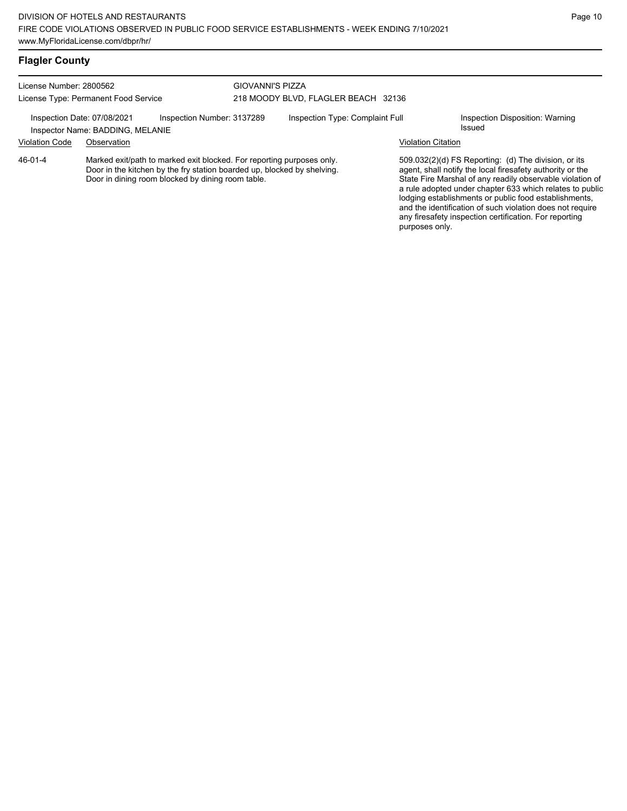# **Flagler County**

| License Number: 2800562              |                                                                 |                                                                                                                                                                                                       | <b>GIOVANNI'S PIZZA</b>             |                                 |                           |                                                                                                                                                                                                                                                                                                                                                                                                                            |  |
|--------------------------------------|-----------------------------------------------------------------|-------------------------------------------------------------------------------------------------------------------------------------------------------------------------------------------------------|-------------------------------------|---------------------------------|---------------------------|----------------------------------------------------------------------------------------------------------------------------------------------------------------------------------------------------------------------------------------------------------------------------------------------------------------------------------------------------------------------------------------------------------------------------|--|
| License Type: Permanent Food Service |                                                                 |                                                                                                                                                                                                       | 218 MOODY BLVD, FLAGLER BEACH 32136 |                                 |                           |                                                                                                                                                                                                                                                                                                                                                                                                                            |  |
|                                      | Inspection Date: 07/08/2021<br>Inspector Name: BADDING, MELANIE | Inspection Number: 3137289                                                                                                                                                                            |                                     | Inspection Type: Complaint Full |                           | Inspection Disposition: Warning<br>Issued                                                                                                                                                                                                                                                                                                                                                                                  |  |
| <b>Violation Code</b>                | Observation                                                     |                                                                                                                                                                                                       |                                     |                                 | <b>Violation Citation</b> |                                                                                                                                                                                                                                                                                                                                                                                                                            |  |
| 46-01-4                              |                                                                 | Marked exit/path to marked exit blocked. For reporting purposes only.<br>Door in the kitchen by the fry station boarded up, blocked by shelving.<br>Door in dining room blocked by dining room table. |                                     |                                 |                           | 509.032(2)(d) FS Reporting: (d) The division, or its<br>agent, shall notify the local firesafety authority or the<br>State Fire Marshal of any readily observable violation of<br>a rule adopted under chapter 633 which relates to public<br>lodging establishments or public food establishments,<br>and the identification of such violation does not require<br>any firesafety inspection certification. For reporting |  |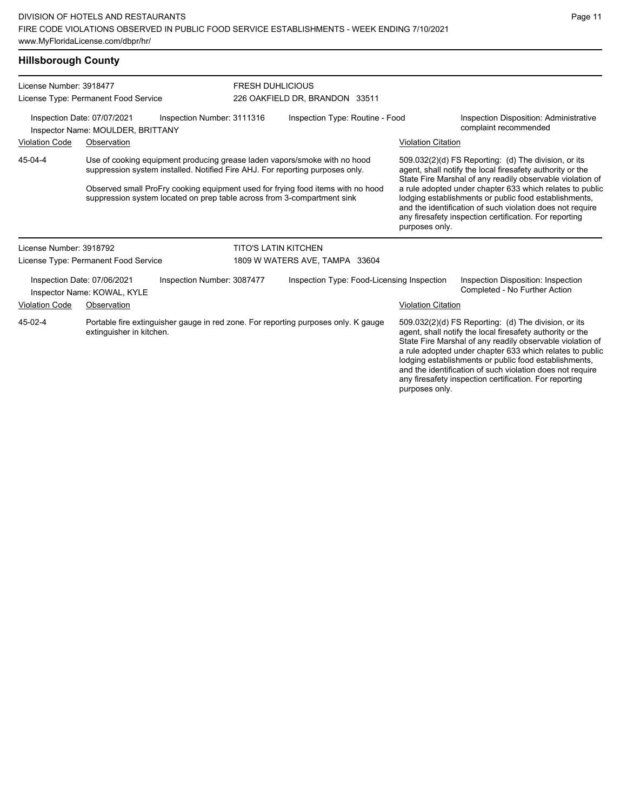### **Hillsborough County**

| License Number: 3918477<br>License Type: Permanent Food Service                                |                                                            |                                                                                                                                                                                                                                                                                                                          | <b>FRESH DUHLICIOUS</b><br>226 OAKFIELD DR, BRANDON 33511 |                                            |                                                                 |                           |                                                                                                                                                                                                                                                                                                                                                                                                                            |
|------------------------------------------------------------------------------------------------|------------------------------------------------------------|--------------------------------------------------------------------------------------------------------------------------------------------------------------------------------------------------------------------------------------------------------------------------------------------------------------------------|-----------------------------------------------------------|--------------------------------------------|-----------------------------------------------------------------|---------------------------|----------------------------------------------------------------------------------------------------------------------------------------------------------------------------------------------------------------------------------------------------------------------------------------------------------------------------------------------------------------------------------------------------------------------------|
| Inspection Date: 07/07/2021<br>Inspection Number: 3111316<br>Inspector Name: MOULDER, BRITTANY |                                                            |                                                                                                                                                                                                                                                                                                                          | Inspection Type: Routine - Food                           |                                            | Inspection Disposition: Administrative<br>complaint recommended |                           |                                                                                                                                                                                                                                                                                                                                                                                                                            |
| Violation Code                                                                                 | Observation                                                |                                                                                                                                                                                                                                                                                                                          |                                                           |                                            |                                                                 | <b>Violation Citation</b> |                                                                                                                                                                                                                                                                                                                                                                                                                            |
| 45-04-4                                                                                        |                                                            | Use of cooking equipment producing grease laden vapors/smoke with no hood<br>suppression system installed. Notified Fire AHJ. For reporting purposes only.<br>Observed small ProFry cooking equipment used for frying food items with no hood<br>suppression system located on prep table across from 3-compartment sink |                                                           |                                            |                                                                 | purposes only.            | 509.032(2)(d) FS Reporting: (d) The division, or its<br>agent, shall notify the local firesafety authority or the<br>State Fire Marshal of any readily observable violation of<br>a rule adopted under chapter 633 which relates to public<br>lodging establishments or public food establishments,<br>and the identification of such violation does not require<br>any firesafety inspection certification. For reporting |
| License Number: 3918792                                                                        |                                                            |                                                                                                                                                                                                                                                                                                                          | <b>TITO'S LATIN KITCHEN</b>                               |                                            |                                                                 |                           |                                                                                                                                                                                                                                                                                                                                                                                                                            |
|                                                                                                | License Type: Permanent Food Service                       |                                                                                                                                                                                                                                                                                                                          | 1809 W WATERS AVE, TAMPA 33604                            |                                            |                                                                 |                           |                                                                                                                                                                                                                                                                                                                                                                                                                            |
|                                                                                                | Inspection Date: 07/06/2021<br>Inspector Name: KOWAL, KYLE | Inspection Number: 3087477                                                                                                                                                                                                                                                                                               |                                                           | Inspection Type: Food-Licensing Inspection |                                                                 |                           | Inspection Disposition: Inspection<br>Completed - No Further Action                                                                                                                                                                                                                                                                                                                                                        |
| Violation Code                                                                                 | Observation                                                |                                                                                                                                                                                                                                                                                                                          |                                                           |                                            |                                                                 | <b>Violation Citation</b> |                                                                                                                                                                                                                                                                                                                                                                                                                            |
| 45-02-4                                                                                        | extinguisher in kitchen.                                   | Portable fire extinguisher gauge in red zone. For reporting purposes only. K gauge                                                                                                                                                                                                                                       |                                                           |                                            |                                                                 |                           | 509.032(2)(d) FS Reporting: (d) The division, or its<br>agent, shall notify the local firesafety authority or the<br>State Fire Marshal of any readily observable violation of<br>a rule adopted under chapter 633 which relates to public<br>lodging establishments or public food establishments,<br>and the identification of such violation does not require                                                           |

any firesafety inspection certification. For reporting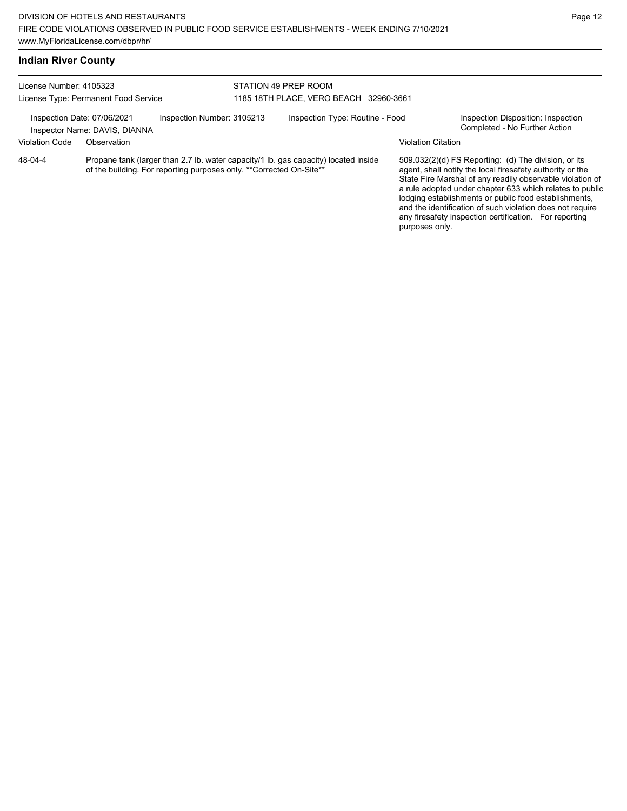| License Number: 4105323<br>License Type: Permanent Food Service |                                                              | STATION 49 PREP ROOM                                                 |  |                                                                                     |                           |                                                                                                                                                                                                                                                                                                                                                                    |
|-----------------------------------------------------------------|--------------------------------------------------------------|----------------------------------------------------------------------|--|-------------------------------------------------------------------------------------|---------------------------|--------------------------------------------------------------------------------------------------------------------------------------------------------------------------------------------------------------------------------------------------------------------------------------------------------------------------------------------------------------------|
|                                                                 |                                                              | 1185 18TH PLACE, VERO BEACH 32960-3661                               |  |                                                                                     |                           |                                                                                                                                                                                                                                                                                                                                                                    |
|                                                                 | Inspection Date: 07/06/2021<br>Inspector Name: DAVIS, DIANNA | Inspection Number: 3105213                                           |  | Inspection Type: Routine - Food                                                     |                           | Inspection Disposition: Inspection<br>Completed - No Further Action                                                                                                                                                                                                                                                                                                |
| <b>Violation Code</b>                                           | Observation                                                  |                                                                      |  |                                                                                     | <b>Violation Citation</b> |                                                                                                                                                                                                                                                                                                                                                                    |
| 48-04-4                                                         |                                                              | of the building. For reporting purposes only. ** Corrected On-Site** |  | Propane tank (larger than 2.7 lb. water capacity/1 lb. gas capacity) located inside |                           | $509.032(2)(d)$ FS Reporting: (d) The division, or its<br>agent, shall notify the local firesafety authority or the<br>State Fire Marshal of any readily observable violation of<br>a rule adopted under chapter 633 which relates to public<br>lodging establishments or public food establishments,<br>and the identification of such violation does not require |

any firesafety inspection certification. For reporting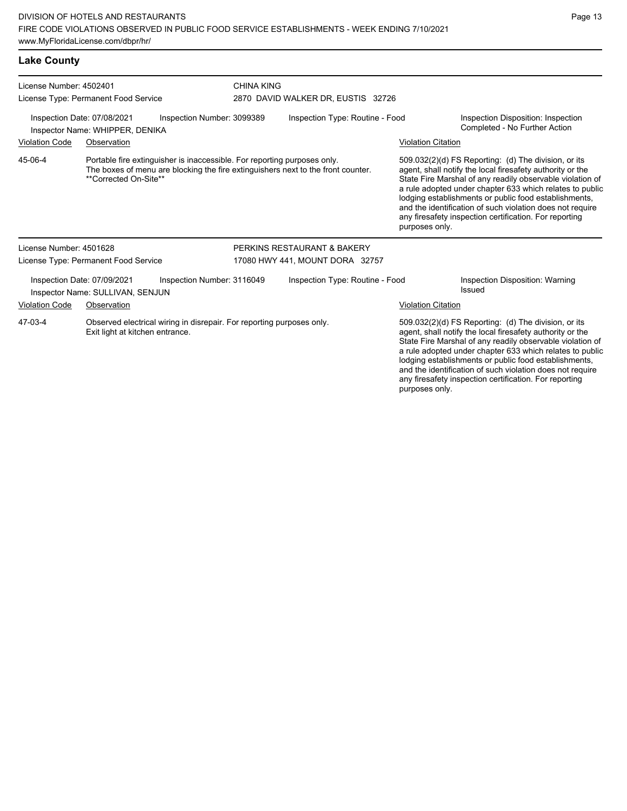| <b>Lake County</b>                                                                                                  |                                                                 |                                                                          |                                 |                                                                                  |                                                                                                                                                                                |                                                                                                                                                                                                                                                                                                                                                                                                                            |
|---------------------------------------------------------------------------------------------------------------------|-----------------------------------------------------------------|--------------------------------------------------------------------------|---------------------------------|----------------------------------------------------------------------------------|--------------------------------------------------------------------------------------------------------------------------------------------------------------------------------|----------------------------------------------------------------------------------------------------------------------------------------------------------------------------------------------------------------------------------------------------------------------------------------------------------------------------------------------------------------------------------------------------------------------------|
| License Number: 4502401<br>License Type: Permanent Food Service                                                     |                                                                 |                                                                          | <b>CHINA KING</b>               | 2870 DAVID WALKER DR, EUSTIS 32726                                               |                                                                                                                                                                                |                                                                                                                                                                                                                                                                                                                                                                                                                            |
| Inspection Number: 3099389<br>Inspection Date: 07/08/2021<br>Inspector Name: WHIPPER, DENIKA                        |                                                                 |                                                                          | Inspection Type: Routine - Food |                                                                                  |                                                                                                                                                                                | Inspection Disposition: Inspection<br>Completed - No Further Action                                                                                                                                                                                                                                                                                                                                                        |
| <b>Violation Code</b><br>Observation                                                                                |                                                                 |                                                                          |                                 |                                                                                  | <b>Violation Citation</b>                                                                                                                                                      |                                                                                                                                                                                                                                                                                                                                                                                                                            |
| 45-06-4                                                                                                             | **Corrected On-Site**                                           | Portable fire extinguisher is inaccessible. For reporting purposes only. |                                 | The boxes of menu are blocking the fire extinguishers next to the front counter. | purposes only.                                                                                                                                                                 | 509.032(2)(d) FS Reporting: (d) The division, or its<br>agent, shall notify the local firesafety authority or the<br>State Fire Marshal of any readily observable violation of<br>a rule adopted under chapter 633 which relates to public<br>lodging establishments or public food establishments,<br>and the identification of such violation does not require<br>any firesafety inspection certification. For reporting |
| License Number: 4501628                                                                                             |                                                                 |                                                                          |                                 | PERKINS RESTAURANT & BAKERY                                                      |                                                                                                                                                                                |                                                                                                                                                                                                                                                                                                                                                                                                                            |
|                                                                                                                     | License Type: Permanent Food Service                            |                                                                          |                                 | 17080 HWY 441, MOUNT DORA 32757                                                  |                                                                                                                                                                                |                                                                                                                                                                                                                                                                                                                                                                                                                            |
|                                                                                                                     | Inspection Date: 07/09/2021<br>Inspector Name: SULLIVAN, SENJUN | Inspection Number: 3116049                                               |                                 | Inspection Type: Routine - Food                                                  |                                                                                                                                                                                | Inspection Disposition: Warning<br>Issued                                                                                                                                                                                                                                                                                                                                                                                  |
| <b>Violation Code</b>                                                                                               | Observation                                                     |                                                                          |                                 |                                                                                  | <b>Violation Citation</b>                                                                                                                                                      |                                                                                                                                                                                                                                                                                                                                                                                                                            |
| 47-03-4<br>Observed electrical wiring in disrepair. For reporting purposes only.<br>Exit light at kitchen entrance. |                                                                 |                                                                          |                                 |                                                                                  | 509.032(2)(d) FS Reporting: (d) The division, or its<br>agent, shall notify the local firesafety authority or the<br>State Fire Marshal of any readily observable violation of |                                                                                                                                                                                                                                                                                                                                                                                                                            |

a rule adopted under chapter 633 which relates to public lodging establishments or public food establishments, and the identification of such violation does not require any firesafety inspection certification. For reporting purposes only.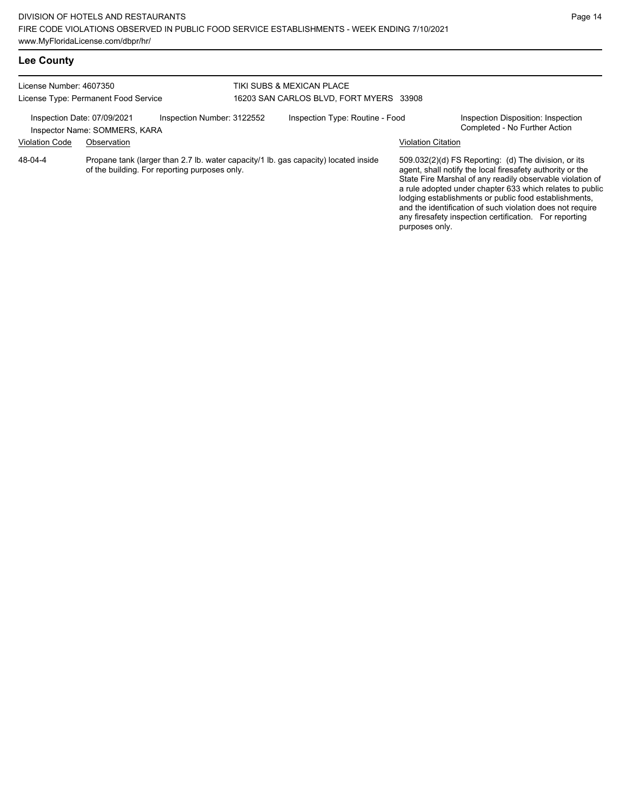| Lee County                                                                                                                                                    |             |                                                                      |  |                                                                                     |                                                                     |                                                                                                                                                                                                                                                                                                                                                                                                                            |
|---------------------------------------------------------------------------------------------------------------------------------------------------------------|-------------|----------------------------------------------------------------------|--|-------------------------------------------------------------------------------------|---------------------------------------------------------------------|----------------------------------------------------------------------------------------------------------------------------------------------------------------------------------------------------------------------------------------------------------------------------------------------------------------------------------------------------------------------------------------------------------------------------|
| License Number: 4607350<br>License Type: Permanent Food Service<br>Inspection Number: 3122552<br>Inspection Date: 07/09/2021<br>Inspector Name: SOMMERS, KARA |             | TIKI SUBS & MEXICAN PLACE<br>16203 SAN CARLOS BLVD, FORT MYERS 33908 |  |                                                                                     |                                                                     |                                                                                                                                                                                                                                                                                                                                                                                                                            |
|                                                                                                                                                               |             | Inspection Type: Routine - Food                                      |  |                                                                                     | Inspection Disposition: Inspection<br>Completed - No Further Action |                                                                                                                                                                                                                                                                                                                                                                                                                            |
| <b>Violation Code</b>                                                                                                                                         | Observation |                                                                      |  |                                                                                     | <b>Violation Citation</b>                                           |                                                                                                                                                                                                                                                                                                                                                                                                                            |
| 48-04-4                                                                                                                                                       |             | of the building. For reporting purposes only.                        |  | Propane tank (larger than 2.7 lb. water capacity/1 lb. gas capacity) located inside |                                                                     | 509.032(2)(d) FS Reporting: (d) The division, or its<br>agent, shall notify the local firesafety authority or the<br>State Fire Marshal of any readily observable violation of<br>a rule adopted under chapter 633 which relates to public<br>lodging establishments or public food establishments,<br>and the identification of such violation does not require<br>any firesafety inspection certification. For reporting |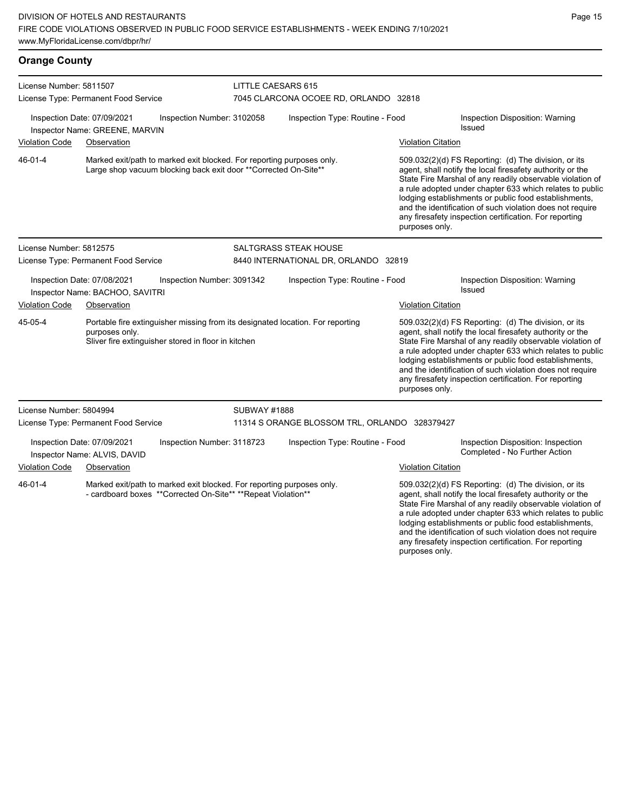| <b>Orange County</b>                                        |                                                                                                                                                         |                            |                                               |                           |                                                                                                                                                                                                                                                                                                                                                                                                                            |  |  |
|-------------------------------------------------------------|---------------------------------------------------------------------------------------------------------------------------------------------------------|----------------------------|-----------------------------------------------|---------------------------|----------------------------------------------------------------------------------------------------------------------------------------------------------------------------------------------------------------------------------------------------------------------------------------------------------------------------------------------------------------------------------------------------------------------------|--|--|
| License Number: 5811507                                     |                                                                                                                                                         | LITTLE CAESARS 615         |                                               |                           |                                                                                                                                                                                                                                                                                                                                                                                                                            |  |  |
|                                                             | License Type: Permanent Food Service                                                                                                                    |                            | 7045 CLARCONA OCOEE RD, ORLANDO 32818         |                           |                                                                                                                                                                                                                                                                                                                                                                                                                            |  |  |
|                                                             | Inspection Date: 07/09/2021<br>Inspector Name: GREENE, MARVIN                                                                                           | Inspection Number: 3102058 | Inspection Type: Routine - Food               |                           | Inspection Disposition: Warning<br>Issued                                                                                                                                                                                                                                                                                                                                                                                  |  |  |
| <b>Violation Code</b>                                       | Observation                                                                                                                                             |                            |                                               | <b>Violation Citation</b> |                                                                                                                                                                                                                                                                                                                                                                                                                            |  |  |
| 46-01-4                                                     | Marked exit/path to marked exit blocked. For reporting purposes only.<br>Large shop vacuum blocking back exit door ** Corrected On-Site**               |                            |                                               | purposes only.            | 509.032(2)(d) FS Reporting: (d) The division, or its<br>agent, shall notify the local firesafety authority or the<br>State Fire Marshal of any readily observable violation of<br>a rule adopted under chapter 633 which relates to public<br>lodging establishments or public food establishments,<br>and the identification of such violation does not require<br>any firesafety inspection certification. For reporting |  |  |
| License Number: 5812575                                     |                                                                                                                                                         |                            | <b>SALTGRASS STEAK HOUSE</b>                  |                           |                                                                                                                                                                                                                                                                                                                                                                                                                            |  |  |
|                                                             | License Type: Permanent Food Service                                                                                                                    |                            | 8440 INTERNATIONAL DR, ORLANDO 32819          |                           |                                                                                                                                                                                                                                                                                                                                                                                                                            |  |  |
|                                                             | Inspection Date: 07/08/2021<br>Inspector Name: BACHOO, SAVITRI                                                                                          | Inspection Number: 3091342 | Inspection Type: Routine - Food               |                           | Inspection Disposition: Warning<br>Issued                                                                                                                                                                                                                                                                                                                                                                                  |  |  |
| <b>Violation Code</b>                                       | Observation                                                                                                                                             |                            |                                               | Violation Citation        |                                                                                                                                                                                                                                                                                                                                                                                                                            |  |  |
| 45-05-4                                                     | Portable fire extinguisher missing from its designated location. For reporting<br>purposes only.<br>Sliver fire extinguisher stored in floor in kitchen |                            |                                               | purposes only.            | 509.032(2)(d) FS Reporting: (d) The division, or its<br>agent, shall notify the local firesafety authority or the<br>State Fire Marshal of any readily observable violation of<br>a rule adopted under chapter 633 which relates to public<br>lodging establishments or public food establishments,<br>and the identification of such violation does not require<br>any firesafety inspection certification. For reporting |  |  |
| License Number: 5804994                                     |                                                                                                                                                         | <b>SUBWAY #1888</b>        |                                               |                           |                                                                                                                                                                                                                                                                                                                                                                                                                            |  |  |
|                                                             | License Type: Permanent Food Service                                                                                                                    |                            | 11314 S ORANGE BLOSSOM TRL, ORLANDO 328379427 |                           |                                                                                                                                                                                                                                                                                                                                                                                                                            |  |  |
| Inspection Date: 07/09/2021<br>Inspector Name: ALVIS, DAVID |                                                                                                                                                         | Inspection Number: 3118723 | Inspection Type: Routine - Food               |                           | Inspection Disposition: Inspection<br>Completed - No Further Action                                                                                                                                                                                                                                                                                                                                                        |  |  |
| <b>Violation Code</b>                                       | Observation                                                                                                                                             |                            |                                               | Violation Citation        |                                                                                                                                                                                                                                                                                                                                                                                                                            |  |  |
| 46-01-4                                                     | Marked exit/path to marked exit blocked. For reporting purposes only.<br>- cardboard boxes ** Corrected On-Site** ** Repeat Violation**                 |                            |                                               |                           | 509.032(2)(d) FS Reporting: (d) The division, or its<br>agent, shall notify the local firesafety authority or the<br>State Fire Marshal of any readily observable violation of<br>a rule adopted under chapter 633 which relates to public<br>lodging establishments or public food establishments,                                                                                                                        |  |  |

and the identification of such violation does not require any firesafety inspection certification. For reporting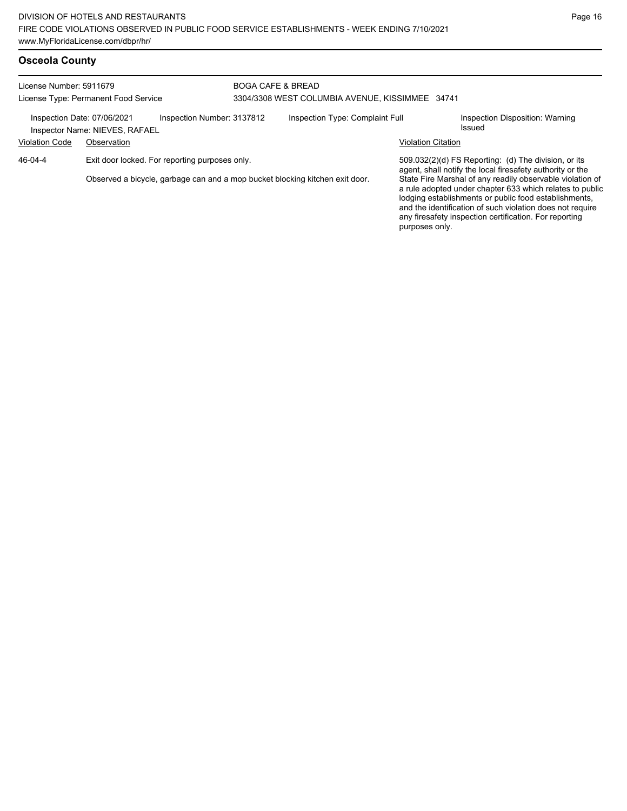| License Number: 5911679<br>License Type: Permanent Food Service<br>Inspection Number: 3137812<br>Inspection Date: 07/06/2021<br>Inspector Name: NIEVES, RAFAEL |             |                                                | <b>BOGA CAFE &amp; BREAD</b><br>3304/3308 WEST COLUMBIA AVENUE, KISSIMMEE 34741 |                                 |                           |                                                                                                                                                                                                                                                                                                                                                                                                                            |  |
|----------------------------------------------------------------------------------------------------------------------------------------------------------------|-------------|------------------------------------------------|---------------------------------------------------------------------------------|---------------------------------|---------------------------|----------------------------------------------------------------------------------------------------------------------------------------------------------------------------------------------------------------------------------------------------------------------------------------------------------------------------------------------------------------------------------------------------------------------------|--|
|                                                                                                                                                                |             |                                                |                                                                                 | Inspection Type: Complaint Full |                           | Inspection Disposition: Warning<br>Issued                                                                                                                                                                                                                                                                                                                                                                                  |  |
| <b>Violation Code</b>                                                                                                                                          | Observation |                                                |                                                                                 |                                 | <b>Violation Citation</b> |                                                                                                                                                                                                                                                                                                                                                                                                                            |  |
| 46-04-4                                                                                                                                                        |             | Exit door locked. For reporting purposes only. | Observed a bicycle, garbage can and a mop bucket blocking kitchen exit door.    |                                 | purposes only.            | 509.032(2)(d) FS Reporting: (d) The division, or its<br>agent, shall notify the local firesafety authority or the<br>State Fire Marshal of any readily observable violation of<br>a rule adopted under chapter 633 which relates to public<br>lodging establishments or public food establishments,<br>and the identification of such violation does not require<br>any firesafety inspection certification. For reporting |  |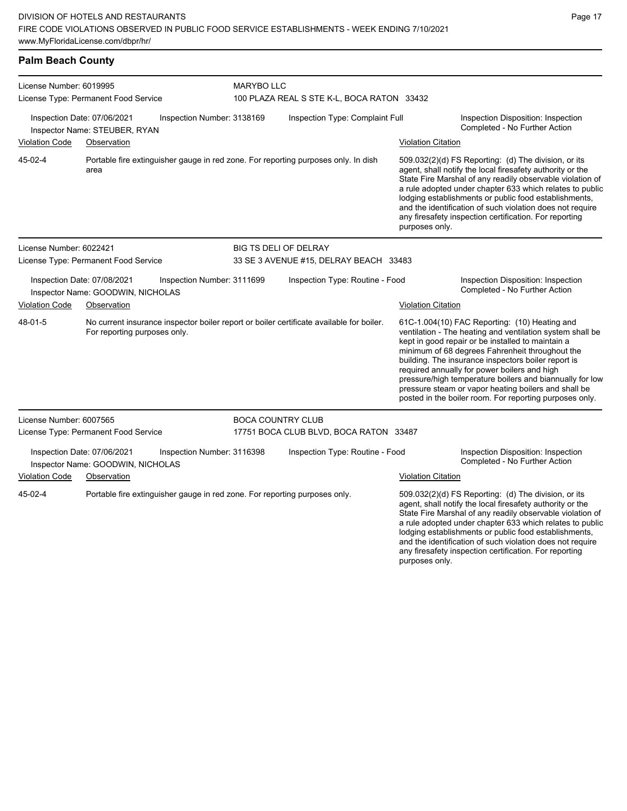### **Palm Beach County**

| License Number: 6019995              |                                                                            |                            | <b>MARYBO LLC</b>                                                                        |                           |                                                                                                                                                                                                                                                                                                                                                                                                                                                                                                          |  |  |  |
|--------------------------------------|----------------------------------------------------------------------------|----------------------------|------------------------------------------------------------------------------------------|---------------------------|----------------------------------------------------------------------------------------------------------------------------------------------------------------------------------------------------------------------------------------------------------------------------------------------------------------------------------------------------------------------------------------------------------------------------------------------------------------------------------------------------------|--|--|--|
|                                      | License Type: Permanent Food Service                                       |                            | 100 PLAZA REAL S STE K-L, BOCA RATON 33432                                               |                           |                                                                                                                                                                                                                                                                                                                                                                                                                                                                                                          |  |  |  |
|                                      | Inspection Date: 07/06/2021<br>Inspector Name: STEUBER, RYAN               | Inspection Number: 3138169 | Inspection Type: Complaint Full                                                          |                           | Inspection Disposition: Inspection<br>Completed - No Further Action                                                                                                                                                                                                                                                                                                                                                                                                                                      |  |  |  |
| <b>Violation Code</b>                | Observation                                                                |                            |                                                                                          | <b>Violation Citation</b> |                                                                                                                                                                                                                                                                                                                                                                                                                                                                                                          |  |  |  |
| 45-02-4                              | area                                                                       |                            | Portable fire extinguisher gauge in red zone. For reporting purposes only. In dish       | purposes only.            | 509.032(2)(d) FS Reporting: (d) The division, or its<br>agent, shall notify the local firesafety authority or the<br>State Fire Marshal of any readily observable violation of<br>a rule adopted under chapter 633 which relates to public<br>lodging establishments or public food establishments,<br>and the identification of such violation does not require<br>any firesafety inspection certification. For reporting                                                                               |  |  |  |
| License Number: 6022421              |                                                                            |                            | BIG TS DELI OF DELRAY                                                                    |                           |                                                                                                                                                                                                                                                                                                                                                                                                                                                                                                          |  |  |  |
| License Type: Permanent Food Service |                                                                            |                            | 33 SE 3 AVENUE #15, DELRAY BEACH 33483                                                   |                           |                                                                                                                                                                                                                                                                                                                                                                                                                                                                                                          |  |  |  |
|                                      | Inspection Date: 07/08/2021<br>Inspector Name: GOODWIN, NICHOLAS           | Inspection Number: 3111699 | Inspection Type: Routine - Food                                                          |                           | Inspection Disposition: Inspection<br>Completed - No Further Action                                                                                                                                                                                                                                                                                                                                                                                                                                      |  |  |  |
| <b>Violation Code</b>                | Observation                                                                |                            |                                                                                          | <b>Violation Citation</b> |                                                                                                                                                                                                                                                                                                                                                                                                                                                                                                          |  |  |  |
| 48-01-5                              | For reporting purposes only.                                               |                            | No current insurance inspector boiler report or boiler certificate available for boiler. |                           | 61C-1.004(10) FAC Reporting: (10) Heating and<br>ventilation - The heating and ventilation system shall be<br>kept in good repair or be installed to maintain a<br>minimum of 68 degrees Fahrenheit throughout the<br>building. The insurance inspectors boiler report is<br>required annually for power boilers and high<br>pressure/high temperature boilers and biannually for low<br>pressure steam or vapor heating boilers and shall be<br>posted in the boiler room. For reporting purposes only. |  |  |  |
| License Number: 6007565              |                                                                            |                            | <b>BOCA COUNTRY CLUB</b>                                                                 |                           |                                                                                                                                                                                                                                                                                                                                                                                                                                                                                                          |  |  |  |
|                                      | License Type: Permanent Food Service                                       |                            | 17751 BOCA CLUB BLVD, BOCA RATON 33487                                                   |                           |                                                                                                                                                                                                                                                                                                                                                                                                                                                                                                          |  |  |  |
|                                      | Inspection Date: 07/06/2021<br>Inspector Name: GOODWIN, NICHOLAS           | Inspection Number: 3116398 | Inspection Type: Routine - Food                                                          |                           | Inspection Disposition: Inspection<br>Completed - No Further Action                                                                                                                                                                                                                                                                                                                                                                                                                                      |  |  |  |
| <b>Violation Code</b>                | Observation                                                                |                            |                                                                                          | <b>Violation Citation</b> |                                                                                                                                                                                                                                                                                                                                                                                                                                                                                                          |  |  |  |
| 45-02-4                              | Portable fire extinguisher gauge in red zone. For reporting purposes only. |                            |                                                                                          | purposes only.            | 509.032(2)(d) FS Reporting: (d) The division, or its<br>agent, shall notify the local firesafety authority or the<br>State Fire Marshal of any readily observable violation of<br>a rule adopted under chapter 633 which relates to public<br>lodging establishments or public food establishments,<br>and the identification of such violation does not require<br>any firesafety inspection certification. For reporting                                                                               |  |  |  |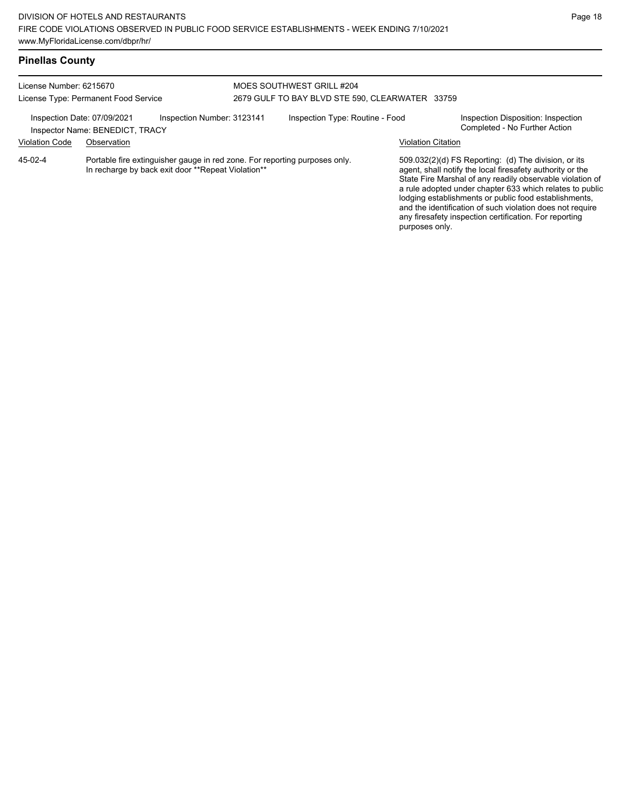# **Pinellas County**

| License Number: 6215670<br>License Type: Permanent Food Service                              |                                                                                                                                  |  | MOES SOUTHWEST GRILL #204<br>2679 GULF TO BAY BLVD STE 590, CLEARWATER 33759 |  |                           |                                                                                                                                                                                                                                                                                                                                                                                                                            |  |
|----------------------------------------------------------------------------------------------|----------------------------------------------------------------------------------------------------------------------------------|--|------------------------------------------------------------------------------|--|---------------------------|----------------------------------------------------------------------------------------------------------------------------------------------------------------------------------------------------------------------------------------------------------------------------------------------------------------------------------------------------------------------------------------------------------------------------|--|
| Inspection Number: 3123141<br>Inspection Date: 07/09/2021<br>Inspector Name: BENEDICT, TRACY |                                                                                                                                  |  | Inspection Type: Routine - Food                                              |  |                           | Inspection Disposition: Inspection<br>Completed - No Further Action                                                                                                                                                                                                                                                                                                                                                        |  |
| <b>Violation Code</b>                                                                        | Observation                                                                                                                      |  |                                                                              |  | <b>Violation Citation</b> |                                                                                                                                                                                                                                                                                                                                                                                                                            |  |
| 45-02-4                                                                                      | Portable fire extinguisher gauge in red zone. For reporting purposes only.<br>In recharge by back exit door **Repeat Violation** |  |                                                                              |  | purposes only.            | 509.032(2)(d) FS Reporting: (d) The division, or its<br>agent, shall notify the local firesafety authority or the<br>State Fire Marshal of any readily observable violation of<br>a rule adopted under chapter 633 which relates to public<br>lodging establishments or public food establishments,<br>and the identification of such violation does not require<br>any firesafety inspection certification. For reporting |  |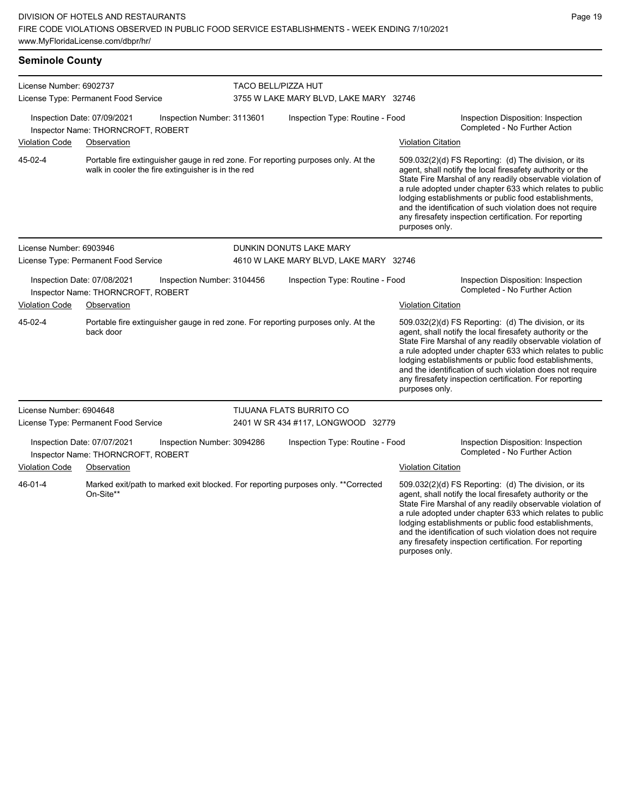| <b>Seminole County</b>                                            |                                                                   |                            |                                                                                    |                           |                                                                                                                                                                                                                                                                                                                                                                                                                                              |  |  |
|-------------------------------------------------------------------|-------------------------------------------------------------------|----------------------------|------------------------------------------------------------------------------------|---------------------------|----------------------------------------------------------------------------------------------------------------------------------------------------------------------------------------------------------------------------------------------------------------------------------------------------------------------------------------------------------------------------------------------------------------------------------------------|--|--|
| License Number: 6902737<br>License Type: Permanent Food Service   |                                                                   |                            | <b>TACO BELL/PIZZA HUT</b><br>3755 W LAKE MARY BLVD, LAKE MARY 32746               |                           |                                                                                                                                                                                                                                                                                                                                                                                                                                              |  |  |
|                                                                   | Inspection Date: 07/09/2021<br>Inspector Name: THORNCROFT, ROBERT | Inspection Number: 3113601 | Inspection Type: Routine - Food                                                    |                           | Inspection Disposition: Inspection<br>Completed - No Further Action                                                                                                                                                                                                                                                                                                                                                                          |  |  |
| Violation Code                                                    | Observation                                                       |                            |                                                                                    | <b>Violation Citation</b> |                                                                                                                                                                                                                                                                                                                                                                                                                                              |  |  |
| 45-02-4                                                           | walk in cooler the fire extinguisher is in the red                |                            | Portable fire extinguisher gauge in red zone. For reporting purposes only. At the  |                           | 509.032(2)(d) FS Reporting: (d) The division, or its<br>agent, shall notify the local firesafety authority or the<br>State Fire Marshal of any readily observable violation of<br>a rule adopted under chapter 633 which relates to public<br>lodging establishments or public food establishments,<br>and the identification of such violation does not require<br>any firesafety inspection certification. For reporting<br>purposes only. |  |  |
| License Number: 6903946                                           |                                                                   |                            | DUNKIN DONUTS LAKE MARY                                                            |                           |                                                                                                                                                                                                                                                                                                                                                                                                                                              |  |  |
|                                                                   | License Type: Permanent Food Service                              |                            | 4610 W LAKE MARY BLVD, LAKE MARY 32746                                             |                           |                                                                                                                                                                                                                                                                                                                                                                                                                                              |  |  |
|                                                                   | Inspection Date: 07/08/2021<br>Inspector Name: THORNCROFT, ROBERT | Inspection Number: 3104456 | Inspection Type: Routine - Food                                                    |                           | Inspection Disposition: Inspection<br>Completed - No Further Action                                                                                                                                                                                                                                                                                                                                                                          |  |  |
| <b>Violation Code</b>                                             | Observation                                                       |                            |                                                                                    | <b>Violation Citation</b> |                                                                                                                                                                                                                                                                                                                                                                                                                                              |  |  |
| 45-02-4                                                           | back door                                                         |                            | Portable fire extinguisher gauge in red zone. For reporting purposes only. At the  | purposes only.            | 509.032(2)(d) FS Reporting: (d) The division, or its<br>agent, shall notify the local firesafety authority or the<br>State Fire Marshal of any readily observable violation of<br>a rule adopted under chapter 633 which relates to public<br>lodging establishments or public food establishments,<br>and the identification of such violation does not require<br>any firesafety inspection certification. For reporting                   |  |  |
| License Number: 6904648                                           |                                                                   |                            | TIJUANA FLATS BURRITO CO                                                           |                           |                                                                                                                                                                                                                                                                                                                                                                                                                                              |  |  |
|                                                                   | License Type: Permanent Food Service                              |                            | 2401 W SR 434 #117, LONGWOOD 32779                                                 |                           |                                                                                                                                                                                                                                                                                                                                                                                                                                              |  |  |
| Inspection Date: 07/07/2021<br>Inspector Name: THORNCROFT, ROBERT |                                                                   | Inspection Number: 3094286 | Inspection Type: Routine - Food                                                    |                           | Inspection Disposition: Inspection<br>Completed - No Further Action                                                                                                                                                                                                                                                                                                                                                                          |  |  |
| <b>Violation Code</b>                                             | Observation                                                       |                            |                                                                                    | <b>Violation Citation</b> |                                                                                                                                                                                                                                                                                                                                                                                                                                              |  |  |
| 46-01-4                                                           | On-Site**                                                         |                            | Marked exit/path to marked exit blocked. For reporting purposes only. ** Corrected |                           | 509.032(2)(d) FS Reporting: (d) The division, or its<br>agent, shall notify the local firesafety authority or the<br>State Fire Marshal of any readily observable violation of<br>a rule adopted under chapter 633 which relates to public<br>lodging establishments or public food establishments,                                                                                                                                          |  |  |

and the identification of such violation does not require any firesafety inspection certification. For reporting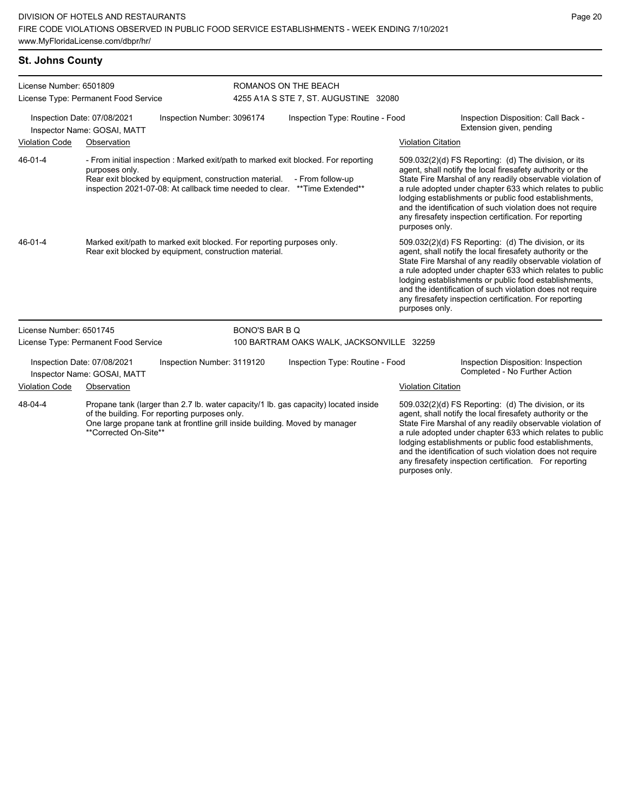#### **St. Johns County**

| License Number: 6501809<br>License Type: Permanent Food Service                          |                                      |                                                                                                                                 | ROMANOS ON THE BEACH<br>4255 A1A S STE 7, ST. AUGUSTINE 32080 |                                                                                                                                                                                       |                                                                 |                                                                                                                                                                                                                                                                                                                                                                                                                            |  |
|------------------------------------------------------------------------------------------|--------------------------------------|---------------------------------------------------------------------------------------------------------------------------------|---------------------------------------------------------------|---------------------------------------------------------------------------------------------------------------------------------------------------------------------------------------|-----------------------------------------------------------------|----------------------------------------------------------------------------------------------------------------------------------------------------------------------------------------------------------------------------------------------------------------------------------------------------------------------------------------------------------------------------------------------------------------------------|--|
| Inspection Date: 07/08/2021<br>Inspection Number: 3096174<br>Inspector Name: GOSAI, MATT |                                      |                                                                                                                                 | Inspection Type: Routine - Food                               |                                                                                                                                                                                       | Inspection Disposition: Call Back -<br>Extension given, pending |                                                                                                                                                                                                                                                                                                                                                                                                                            |  |
| <b>Violation Code</b>                                                                    | Observation                          |                                                                                                                                 |                                                               |                                                                                                                                                                                       | <b>Violation Citation</b>                                       |                                                                                                                                                                                                                                                                                                                                                                                                                            |  |
| 46-01-4                                                                                  | purposes only.                       | Rear exit blocked by equipment, construction material.                                                                          |                                                               | - From initial inspection : Marked exit/path to marked exit blocked. For reporting<br>- From follow-up<br>inspection 2021-07-08: At callback time needed to clear. ** Time Extended** | purposes only.                                                  | 509.032(2)(d) FS Reporting: (d) The division, or its<br>agent, shall notify the local firesafety authority or the<br>State Fire Marshal of any readily observable violation of<br>a rule adopted under chapter 633 which relates to public<br>lodging establishments or public food establishments,<br>and the identification of such violation does not require<br>any firesafety inspection certification. For reporting |  |
| 46-01-4                                                                                  |                                      | Marked exit/path to marked exit blocked. For reporting purposes only.<br>Rear exit blocked by equipment, construction material. |                                                               |                                                                                                                                                                                       | purposes only.                                                  | 509.032(2)(d) FS Reporting: (d) The division, or its<br>agent, shall notify the local firesafety authority or the<br>State Fire Marshal of any readily observable violation of<br>a rule adopted under chapter 633 which relates to public<br>lodging establishments or public food establishments,<br>and the identification of such violation does not require<br>any firesafety inspection certification. For reporting |  |
| License Number: 6501745                                                                  |                                      |                                                                                                                                 | <b>BONO'S BAR B Q</b>                                         |                                                                                                                                                                                       |                                                                 |                                                                                                                                                                                                                                                                                                                                                                                                                            |  |
|                                                                                          | License Type: Permanent Food Service |                                                                                                                                 |                                                               | 100 BARTRAM OAKS WALK, JACKSONVILLE 32259                                                                                                                                             |                                                                 |                                                                                                                                                                                                                                                                                                                                                                                                                            |  |
| Inspection Date: 07/08/2021<br>Inspection Number: 3119120<br>Inspector Name: GOSAI, MATT |                                      |                                                                                                                                 | Inspection Type: Routine - Food                               |                                                                                                                                                                                       |                                                                 | Inspection Disposition: Inspection<br>Completed - No Further Action                                                                                                                                                                                                                                                                                                                                                        |  |
| <b>Violation Code</b>                                                                    | Observation                          |                                                                                                                                 |                                                               |                                                                                                                                                                                       | <b>Violation Citation</b>                                       |                                                                                                                                                                                                                                                                                                                                                                                                                            |  |
| 48-04-4                                                                                  | **Corrected On-Site**                | of the building. For reporting purposes only.<br>One large propane tank at frontline grill inside building. Moved by manager    |                                                               | Propane tank (larger than 2.7 lb. water capacity/1 lb. gas capacity) located inside                                                                                                   |                                                                 | 509.032(2)(d) FS Reporting: (d) The division, or its<br>agent, shall notify the local firesafety authority or the<br>State Fire Marshal of any readily observable violation of<br>a rule adopted under chapter 633 which relates to public<br>lodging establishments or public food establishments,<br>and the identification of such violation does not require<br>any firesafety inspection certification. For reporting |  |